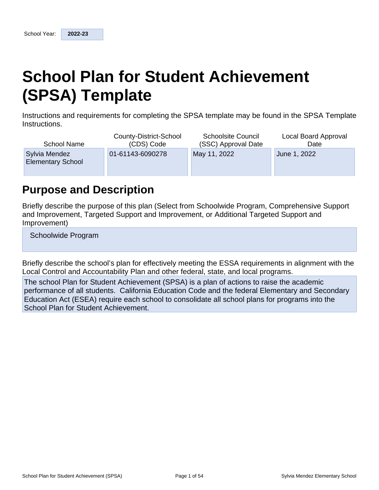# **School Plan for Student Achievement (SPSA) Template**

Instructions and requirements for completing the SPSA template may be found in the SPSA Template Instructions.

| <b>School Name</b>                        | County-District-School | <b>Schoolsite Council</b> | Local Board Approval |
|-------------------------------------------|------------------------|---------------------------|----------------------|
|                                           | (CDS) Code             | (SSC) Approval Date       | Date                 |
| Sylvia Mendez<br><b>Elementary School</b> | 01-61143-6090278       | May 11, 2022              | June 1, 2022         |

## **Purpose and Description**

Briefly describe the purpose of this plan (Select from Schoolwide Program, Comprehensive Support and Improvement, Targeted Support and Improvement, or Additional Targeted Support and Improvement)

Schoolwide Program

Briefly describe the school's plan for effectively meeting the ESSA requirements in alignment with the Local Control and Accountability Plan and other federal, state, and local programs.

The school Plan for Student Achievement (SPSA) is a plan of actions to raise the academic performance of all students. California Education Code and the federal Elementary and Secondary Education Act (ESEA) require each school to consolidate all school plans for programs into the School Plan for Student Achievement.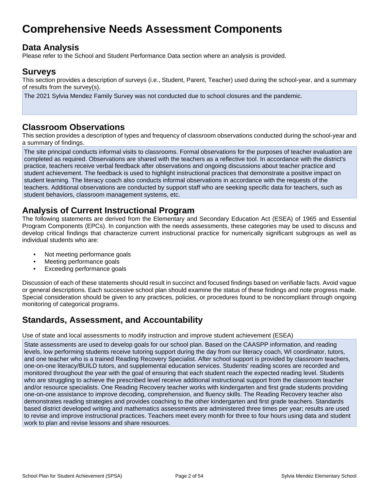## **Comprehensive Needs Assessment Components**

## **Data Analysis**

Please refer to the School and Student Performance Data section where an analysis is provided.

### **Surveys**

This section provides a description of surveys (i.e., Student, Parent, Teacher) used during the school-year, and a summary of results from the survey(s).

The 2021 Sylvia Mendez Family Survey was not conducted due to school closures and the pandemic.

### **Classroom Observations**

This section provides a description of types and frequency of classroom observations conducted during the school-year and a summary of findings.

The site principal conducts informal visits to classrooms. Formal observations for the purposes of teacher evaluation are completed as required. Observations are shared with the teachers as a reflective tool. In accordance with the district's practice, teachers receive verbal feedback after observations and ongoing discussions about teacher practice and student achievement. The feedback is used to highlight instructional practices that demonstrate a positive impact on student learning. The literacy coach also conducts informal observations in accordance with the requests of the teachers. Additional observations are conducted by support staff who are seeking specific data for teachers, such as student behaviors, classroom management systems, etc.

## **Analysis of Current Instructional Program**

The following statements are derived from the Elementary and Secondary Education Act (ESEA) of 1965 and Essential Program Components (EPCs). In conjunction with the needs assessments, these categories may be used to discuss and develop critical findings that characterize current instructional practice for numerically significant subgroups as well as individual students who are:

- Not meeting performance goals
- Meeting performance goals
- Exceeding performance goals

Discussion of each of these statements should result in succinct and focused findings based on verifiable facts. Avoid vague or general descriptions. Each successive school plan should examine the status of these findings and note progress made. Special consideration should be given to any practices, policies, or procedures found to be noncompliant through ongoing monitoring of categorical programs.

## **Standards, Assessment, and Accountability**

Use of state and local assessments to modify instruction and improve student achievement (ESEA)

State assessments are used to develop goals for our school plan. Based on the CAASPP information, and reading levels, low performing students receive tutoring support during the day from our literacy coach, WI coordinator, tutors, and one teacher who is a trained Reading Recovery Specialist. After school support is provided by classroom teachers, one-on-one literacy/BUILD tutors, and supplemental education services. Students' reading scores are recorded and monitored throughout the year with the goal of ensuring that each student reach the expected reading level. Students who are struggling to achieve the prescribed level receive additional instructional support from the classroom teacher and/or resource specialists. One Reading Recovery teacher works with kindergarten and first grade students providing one-on-one assistance to improve decoding, comprehension, and fluency skills. The Reading Recovery teacher also demonstrates reading strategies and provides coaching to the other kindergarten and first grade teachers. Standards based district developed writing and mathematics assessments are administered three times per year; results are used to revise and improve instructional practices. Teachers meet every month for three to four hours using data and student work to plan and revise lessons and share resources.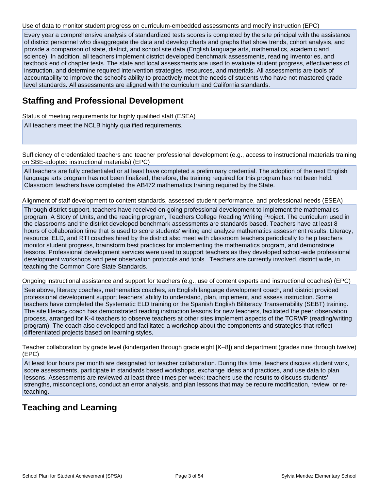Use of data to monitor student progress on curriculum-embedded assessments and modify instruction (EPC)

Every year a comprehensive analysis of standardized tests scores is completed by the site principal with the assistance of district personnel who disaggregate the data and develop charts and graphs that show trends, cohort analysis, and provide a comparison of state, district, and school site data (English language arts, mathematics, academic and science). In addition, all teachers implement district developed benchmark assessments, reading inventories, and textbook end of chapter tests. The state and local assessments are used to evaluate student progress, effectiveness of instruction, and determine required intervention strategies, resources, and materials. All assessments are tools of accountability to improve the school's ability to proactively meet the needs of students who have not mastered grade level standards. All assessments are aligned with the curriculum and California standards.

### **Staffing and Professional Development**

Status of meeting requirements for highly qualified staff (ESEA)

All teachers meet the NCLB highly qualified requirements.

Sufficiency of credentialed teachers and teacher professional development (e.g., access to instructional materials training on SBE-adopted instructional materials) (EPC)

All teachers are fully credentialed or at least have completed a preliminary credential. The adoption of the next English language arts program has not been finalized, therefore, the training required for this program has not been held. Classroom teachers have completed the AB472 mathematics training required by the State.

Alignment of staff development to content standards, assessed student performance, and professional needs (ESEA)

Through district support, teachers have received on-going professional development to implement the mathematics program, A Story of Units, and the reading program, Teachers College Reading Writing Project. The curriculum used in the classrooms and the district developed benchmark assessments are standards based. Teachers have at least 8 hours of collaboration time that is used to score students' writing and analyze mathematics assessment results. Literacy, resource, ELD, and RTI coaches hired by the district also meet with classroom teachers periodically to help teachers monitor student progress, brainstorm best practices for implementing the mathematics program, and demonstrate lessons. Professional development services were used to support teachers as they developed school-wide professional development workshops and peer observation protocols and tools. Teachers are currently involved, district wide, in teaching the Common Core State Standards.

Ongoing instructional assistance and support for teachers (e.g., use of content experts and instructional coaches) (EPC)

See above, literacy coaches, mathematics coaches, an English language development coach, and district provided professional development support teachers' ability to understand, plan, implement, and assess instruction. Some teachers have completed the Systematic ELD training or the Spanish English Biliteracy Transerrability (SEBT) training. The site literacy coach has demonstrated reading instruction lessons for new teachers, facilitated the peer observation process, arranged for K-4 teachers to observe teachers at other sites implement aspects of the TCRWP (reading/writing program). The coach also developed and facilitated a workshop about the components and strategies that reflect differentiated projects based on learning styles.

Teacher collaboration by grade level (kindergarten through grade eight [K–8]) and department (grades nine through twelve) (EPC)

At least four hours per month are designated for teacher collaboration. During this time, teachers discuss student work, score assessments, participate in standards based workshops, exchange ideas and practices, and use data to plan lessons. Assessments are reviewed at least three times per week; teachers use the results to discuss students' strengths, misconceptions, conduct an error analysis, and plan lessons that may be require modification, review, or reteaching.

## **Teaching and Learning**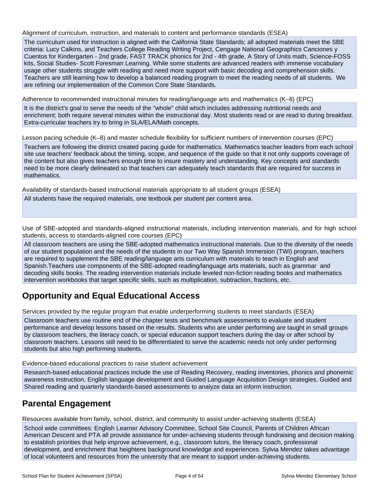Alignment of curriculum, instruction, and materials to content and performance standards (ESEA)

The curriculum used for instruction is aligned with the California State Standards; all adopted materials meet the SBE criteria: Lucy Calkins, and Teachers College Reading Writing Project, Cengage National Geographics Canciones y Cuentos for Kindergarten - 2nd grade, FAST TRACK phonics for 2nd - 4th grade, A Story of Units math, Science-FOSS kits, Social Studies- Scott Foresman Learning. While some students are advanced readers with immense vocabulary usage other students struggle with reading and need more support with basic decoding and comprehension skills. Teachers are still learning how to develop a balanced reading program to meet the reading needs of all students. We are refining our implementation of the Common Core State Standards.

Adherence to recommended instructional minutes for reading/language arts and mathematics (K–8) (EPC)

It is the district's goal to serve the needs of the "whole" child which includes addressing nutritional needs and enrichment; both require several minutes within the instructional day. Most students read or are read to during breakfast. Extra-curricular teachers try to bring in SLA/ELA/Math concepts.

Lesson pacing schedule (K–8) and master schedule flexibility for sufficient numbers of intervention courses (EPC)

Teachers are following the district created pacing guide for mathematics. Mathematics teacher leaders from each school site use teachers' feedback about the timing, scope, and sequence of the guide so that it not only supports coverage of the content but also gives teachers enough time to insure mastery and understanding. Key concepts and standards need to be more clearly delineated so that teachers can adequately teach standards that are required for success in mathematics.

Availability of standards-based instructional materials appropriate to all student groups (ESEA)

All students have the required materials, one textbook per student per content area.

Use of SBE-adopted and standards-aligned instructional materials, including intervention materials, and for high school students, access to standards-aligned core courses (EPC)

All classroom teachers are using the SBE-adopted mathematics instructional materials. Due to the diversity of the needs of our student population and the needs of the students in our Two Way Spanish Immersion (TWI) program, teachers are required to supplement the SBE reading/language arts curriculum with materials to teach in English and Spanish.Teachers use components of the SBE-adopted reading/language arts materials, such as grammar and decoding skills books. The reading intervention materials include leveled non-fiction reading books and mathematics intervention workbooks that target specific skills, such as multiplication, subtraction, fractions, etc.

## **Opportunity and Equal Educational Access**

Services provided by the regular program that enable underperforming students to meet standards (ESEA)

Classroom teachers use routine end of the chapter tests and benchmark assessments to evaluate and student performance and develop lessons based on the results. Students who are under performing are taught in small groups by classroom teachers, the literacy coach, or special education support teachers during the day or after school by classroom teachers. Lessons still need to be differentiated to serve the academic needs not only under performing students but also high performing students.

Evidence-based educational practices to raise student achievement

Research-based educational practices include the use of Reading Recovery, reading inventories, phonics and phonemic awareness instruction, English language development and Guided Language Acquisition Design strategies, Guided and Shared reading and quarterly standards-based assessments to analyze data an inform instruction.

### **Parental Engagement**

Resources available from family, school, district, and community to assist under-achieving students (ESEA)

School wide committees: English Learner Advisory Committee, School Site Council, Parents of Children African American Descent and PTA all provide assistance for under-achieving students through fundraising and decision making to establish priorities that help improve achievement, e.g., classroom tutors, the literacy coach, professional development, and enrichment that heightens background knowledge and experiences. Sylvia Mendez takes advantage of local volunteers and resources from the university that are meant to support under-achieving students.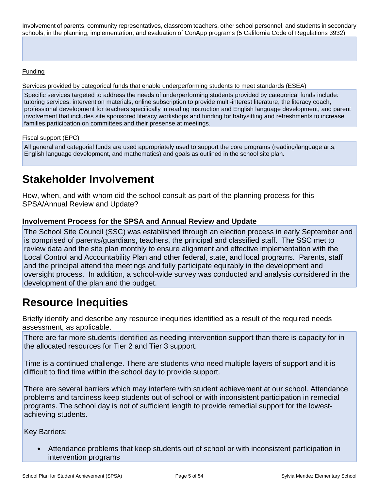Involvement of parents, community representatives, classroom teachers, other school personnel, and students in secondary schools, in the planning, implementation, and evaluation of ConApp programs (5 California Code of Regulations 3932)

#### **Funding**

Services provided by categorical funds that enable underperforming students to meet standards (ESEA)

Specific services targeted to address the needs of underperforming students provided by categorical funds include: tutoring services, intervention materials, online subscription to provide multi-interest literature, the literacy coach, professional development for teachers specifically in reading instruction and English language development, and parent involvement that includes site sponsored literacy workshops and funding for babysitting and refreshments to increase families participation on committees and their presense at meetings.

#### Fiscal support (EPC)

All general and categorial funds are used appropriately used to support the core programs (reading/language arts, English language development, and mathematics) and goals as outlined in the school site plan.

## **Stakeholder Involvement**

How, when, and with whom did the school consult as part of the planning process for this SPSA/Annual Review and Update?

#### **Involvement Process for the SPSA and Annual Review and Update**

The School Site Council (SSC) was established through an election process in early September and is comprised of parents/guardians, teachers, the principal and classified staff. The SSC met to review data and the site plan monthly to ensure alignment and effective implementation with the Local Control and Accountability Plan and other federal, state, and local programs. Parents, staff and the principal attend the meetings and fully participate equitably in the development and oversight process. In addition, a school-wide survey was conducted and analysis considered in the development of the plan and the budget.

## **Resource Inequities**

Briefly identify and describe any resource inequities identified as a result of the required needs assessment, as applicable.

There are far more students identified as needing intervention support than there is capacity for in the allocated resources for Tier 2 and Tier 3 support.

Time is a continued challenge. There are students who need multiple layers of support and it is difficult to find time within the school day to provide support.

There are several barriers which may interfere with student achievement at our school. Attendance problems and tardiness keep students out of school or with inconsistent participation in remedial programs. The school day is not of sufficient length to provide remedial support for the lowestachieving students.

Key Barriers:

• Attendance problems that keep students out of school or with inconsistent participation in intervention programs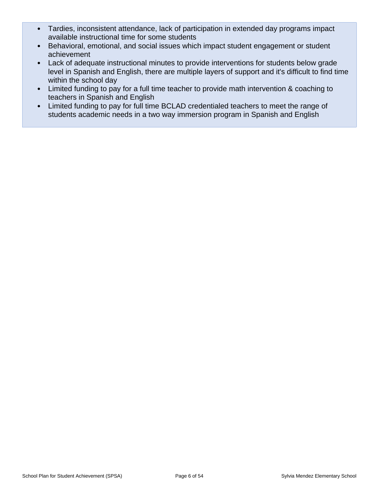- Tardies, inconsistent attendance, lack of participation in extended day programs impact available instructional time for some students
- Behavioral, emotional, and social issues which impact student engagement or student achievement
- Lack of adequate instructional minutes to provide interventions for students below grade level in Spanish and English, there are multiple layers of support and it's difficult to find time within the school day
- Limited funding to pay for a full time teacher to provide math intervention & coaching to teachers in Spanish and English
- Limited funding to pay for full time BCLAD credentialed teachers to meet the range of students academic needs in a two way immersion program in Spanish and English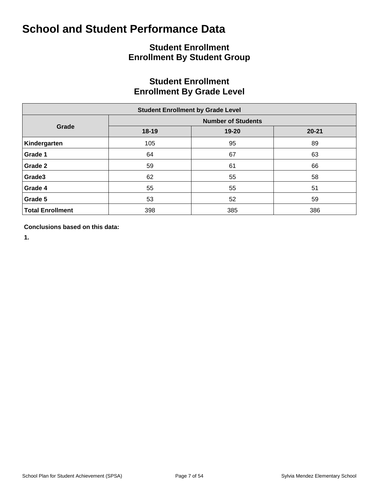## **Student Enrollment Enrollment By Student Group**

## **Student Enrollment Enrollment By Grade Level**

| <b>Student Enrollment by Grade Level</b> |           |                           |           |  |  |  |  |  |  |  |  |
|------------------------------------------|-----------|---------------------------|-----------|--|--|--|--|--|--|--|--|
|                                          |           | <b>Number of Students</b> |           |  |  |  |  |  |  |  |  |
| Grade                                    | $18 - 19$ | 19-20                     | $20 - 21$ |  |  |  |  |  |  |  |  |
| Kindergarten                             | 105       | 95                        | 89        |  |  |  |  |  |  |  |  |
| Grade 1                                  | 64        | 67                        | 63        |  |  |  |  |  |  |  |  |
| Grade 2                                  | 59        | 61                        | 66        |  |  |  |  |  |  |  |  |
| Grade3                                   | 62        | 55                        | 58        |  |  |  |  |  |  |  |  |
| Grade 4                                  | 55        | 55                        | 51        |  |  |  |  |  |  |  |  |
| Grade 5                                  | 53        | 52                        | 59        |  |  |  |  |  |  |  |  |
| <b>Total Enrollment</b>                  | 398       | 385                       | 386       |  |  |  |  |  |  |  |  |

**Conclusions based on this data:**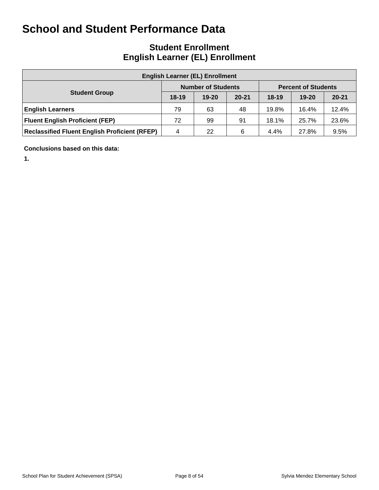## **Student Enrollment English Learner (EL) Enrollment**

| <b>English Learner (EL) Enrollment</b>               |           |                           |           |           |                            |           |  |  |  |  |  |  |
|------------------------------------------------------|-----------|---------------------------|-----------|-----------|----------------------------|-----------|--|--|--|--|--|--|
|                                                      |           | <b>Number of Students</b> |           |           | <b>Percent of Students</b> |           |  |  |  |  |  |  |
| <b>Student Group</b>                                 | $18 - 19$ | $19 - 20$                 | $20 - 21$ | $18 - 19$ | $19 - 20$                  | $20 - 21$ |  |  |  |  |  |  |
| <b>English Learners</b>                              | 79        | 63                        | 48        | 19.8%     | 16.4%                      | 12.4%     |  |  |  |  |  |  |
| <b>Fluent English Proficient (FEP)</b>               | 72        | 99                        | 91        | 18.1%     | 25.7%                      | 23.6%     |  |  |  |  |  |  |
| <b>Reclassified Fluent English Proficient (RFEP)</b> | 4         | 22                        | 6         | 4.4%      | 27.8%                      | 9.5%      |  |  |  |  |  |  |

**Conclusions based on this data:**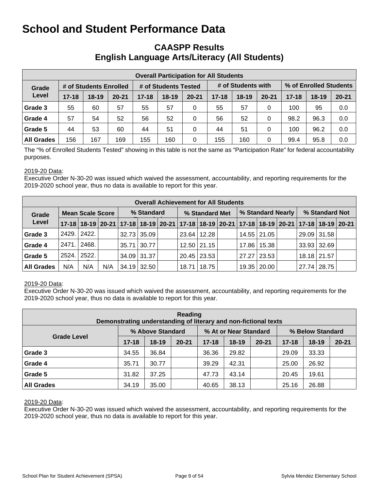### **CAASPP Results English Language Arts/Literacy (All Students)**

|                   | <b>Overall Participation for All Students</b> |                        |           |           |                      |           |           |                    |           |                        |           |           |  |  |
|-------------------|-----------------------------------------------|------------------------|-----------|-----------|----------------------|-----------|-----------|--------------------|-----------|------------------------|-----------|-----------|--|--|
| Grade             |                                               | # of Students Enrolled |           |           | # of Students Tested |           |           | # of Students with |           | % of Enrolled Students |           |           |  |  |
| Level             | $17 - 18$                                     | $18 - 19$              | $20 - 21$ | $17 - 18$ | $18 - 19$            | $20 - 21$ | $17 - 18$ | $18 - 19$          | $20 - 21$ | $17 - 18$              | $18 - 19$ | $20 - 21$ |  |  |
| Grade 3           | 55                                            | 60                     | 57        | 55        | 57                   | 0         | 55        | 57                 | 0         | 100                    | 95        | 0.0       |  |  |
| Grade 4           | 57                                            | 54                     | 52        | 56        | 52                   | 0         | 56        | 52                 | 0         | 98.2                   | 96.3      | 0.0       |  |  |
| Grade 5           | 44                                            | 53                     | 60        | 44        | 51                   | 0         | 44        | 51                 | 0         | 100                    | 96.2      | 0.0       |  |  |
| <b>All Grades</b> | 156                                           | 167                    | 169       | 155       | 160                  | 0         | 155       | 160                | 0         | 99.4                   | 95.8      | 0.0       |  |  |

The "% of Enrolled Students Tested" showing in this table is not the same as "Participation Rate" for federal accountability purposes.

#### 2019-20 Data:

Executive Order N-30-20 was issued which waived the assessment, accountability, and reporting requirements for the 2019-2020 school year, thus no data is available to report for this year.

|                   | <b>Overall Achievement for All Students</b> |                         |     |            |                    |  |                                                                                           |               |  |                   |               |  |                |               |  |
|-------------------|---------------------------------------------|-------------------------|-----|------------|--------------------|--|-------------------------------------------------------------------------------------------|---------------|--|-------------------|---------------|--|----------------|---------------|--|
| Grade             |                                             | <b>Mean Scale Score</b> |     | % Standard |                    |  | % Standard Met                                                                            |               |  | % Standard Nearly |               |  | % Standard Not |               |  |
| Level             |                                             |                         |     |            |                    |  | 17-18 18-19 20-21 17-18 18-19 20-21 17-18 18-19 20-21 17-18 18-19 20-21 17-18 18-19 20-21 |               |  |                   |               |  |                |               |  |
| Grade 3           |                                             | 2429. 2422.             |     |            | $32.73 \mid 35.09$ |  |                                                                                           | 23.64   12.28 |  |                   | 14.55 21.05   |  |                | 29.09   31.58 |  |
| Grade 4           | 2471.                                       | 2468.                   |     |            | $35.71$ 30.77      |  |                                                                                           | 12.50 21.15   |  |                   | 17.86 15.38   |  | $33.93$ 32.69  |               |  |
| Grade 5           | 2524.                                       | 2522.                   |     |            | $34.09$ 31.37      |  |                                                                                           | 20.45   23.53 |  |                   | 27.27   23.53 |  | 18.18 21.57    |               |  |
| <b>All Grades</b> | N/A                                         | N/A                     | N/A |            | 34.19 32.50        |  | 18.71                                                                                     | 18.75         |  |                   | 19.35 20.00   |  | 27.74   28.75  |               |  |

#### 2019-20 Data:

Executive Order N-30-20 was issued which waived the assessment, accountability, and reporting requirements for the 2019-2020 school year, thus no data is available to report for this year.

| Reading<br>Demonstrating understanding of literary and non-fictional texts |           |                  |           |           |                       |           |                  |         |           |  |  |  |  |
|----------------------------------------------------------------------------|-----------|------------------|-----------|-----------|-----------------------|-----------|------------------|---------|-----------|--|--|--|--|
|                                                                            |           | % Above Standard |           |           | % At or Near Standard |           | % Below Standard |         |           |  |  |  |  |
| <b>Grade Level</b>                                                         | $17 - 18$ | $18 - 19$        | $20 - 21$ | $17 - 18$ | $18-19$               | $20 - 21$ | $17 - 18$        | $18-19$ | $20 - 21$ |  |  |  |  |
| Grade 3                                                                    | 34.55     | 36.84            |           | 36.36     | 29.82                 |           | 29.09            | 33.33   |           |  |  |  |  |
| Grade 4                                                                    | 35.71     | 30.77            |           | 39.29     | 42.31                 |           | 25.00            | 26.92   |           |  |  |  |  |
| Grade 5                                                                    | 31.82     | 37.25            |           | 47.73     | 43.14                 |           | 20.45            | 19.61   |           |  |  |  |  |
| <b>All Grades</b>                                                          | 34.19     | 35.00            |           | 40.65     | 38.13                 |           | 25.16            | 26.88   |           |  |  |  |  |

#### 2019-20 Data: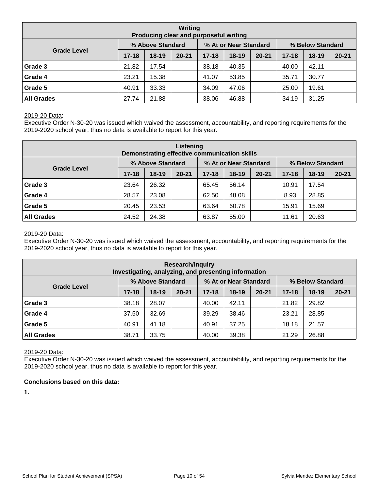| Writing<br>Producing clear and purposeful writing |           |                  |           |           |                       |           |                  |           |           |  |  |  |  |
|---------------------------------------------------|-----------|------------------|-----------|-----------|-----------------------|-----------|------------------|-----------|-----------|--|--|--|--|
|                                                   |           | % Above Standard |           |           | % At or Near Standard |           | % Below Standard |           |           |  |  |  |  |
| <b>Grade Level</b>                                | $17 - 18$ | $18-19$          | $20 - 21$ | $17 - 18$ | $18 - 19$             | $20 - 21$ | $17 - 18$        | $18 - 19$ | $20 - 21$ |  |  |  |  |
| Grade 3                                           | 21.82     | 17.54            |           | 38.18     | 40.35                 |           | 40.00            | 42.11     |           |  |  |  |  |
| Grade 4                                           | 23.21     | 15.38            |           | 41.07     | 53.85                 |           | 35.71            | 30.77     |           |  |  |  |  |
| Grade 5                                           | 40.91     | 33.33            |           | 34.09     | 47.06                 |           | 25.00            | 19.61     |           |  |  |  |  |
| <b>All Grades</b>                                 | 27.74     | 21.88            |           | 38.06     | 46.88                 |           | 34.19            | 31.25     |           |  |  |  |  |

Executive Order N-30-20 was issued which waived the assessment, accountability, and reporting requirements for the 2019-2020 school year, thus no data is available to report for this year.

| Listening<br>Demonstrating effective communication skills |           |                  |           |           |                       |           |                  |           |           |  |  |  |  |
|-----------------------------------------------------------|-----------|------------------|-----------|-----------|-----------------------|-----------|------------------|-----------|-----------|--|--|--|--|
|                                                           |           | % Above Standard |           |           | % At or Near Standard |           | % Below Standard |           |           |  |  |  |  |
| <b>Grade Level</b>                                        | $17 - 18$ | $18 - 19$        | $20 - 21$ | $17 - 18$ | 18-19                 | $20 - 21$ | $17 - 18$        | $18 - 19$ | $20 - 21$ |  |  |  |  |
| Grade 3                                                   | 23.64     | 26.32            |           | 65.45     | 56.14                 |           | 10.91            | 17.54     |           |  |  |  |  |
| Grade 4                                                   | 28.57     | 23.08            |           | 62.50     | 48.08                 |           | 8.93             | 28.85     |           |  |  |  |  |
| Grade 5                                                   | 20.45     | 23.53            |           | 63.64     | 60.78                 |           | 15.91            | 15.69     |           |  |  |  |  |
| <b>All Grades</b>                                         | 24.52     | 24.38            |           | 63.87     | 55.00                 |           | 11.61            | 20.63     |           |  |  |  |  |

#### 2019-20 Data:

Executive Order N-30-20 was issued which waived the assessment, accountability, and reporting requirements for the 2019-2020 school year, thus no data is available to report for this year.

| <b>Research/Inquiry</b><br>Investigating, analyzing, and presenting information |           |                  |           |           |                       |           |                  |         |           |  |  |  |  |
|---------------------------------------------------------------------------------|-----------|------------------|-----------|-----------|-----------------------|-----------|------------------|---------|-----------|--|--|--|--|
|                                                                                 |           | % Above Standard |           |           | % At or Near Standard |           | % Below Standard |         |           |  |  |  |  |
| <b>Grade Level</b>                                                              | $17 - 18$ | $18-19$          | $20 - 21$ | $17 - 18$ | $18 - 19$             | $20 - 21$ | $17 - 18$        | $18-19$ | $20 - 21$ |  |  |  |  |
| Grade 3                                                                         | 38.18     | 28.07            |           | 40.00     | 42.11                 |           | 21.82            | 29.82   |           |  |  |  |  |
| Grade 4                                                                         | 37.50     | 32.69            |           | 39.29     | 38.46                 |           | 23.21            | 28.85   |           |  |  |  |  |
| Grade 5                                                                         | 40.91     | 41.18            |           | 40.91     | 37.25                 |           | 18.18            | 21.57   |           |  |  |  |  |
| <b>All Grades</b><br>39.38<br>26.88<br>38.71<br>33.75<br>21.29<br>40.00         |           |                  |           |           |                       |           |                  |         |           |  |  |  |  |

#### 2019-20 Data:

Executive Order N-30-20 was issued which waived the assessment, accountability, and reporting requirements for the 2019-2020 school year, thus no data is available to report for this year.

#### **Conclusions based on this data:**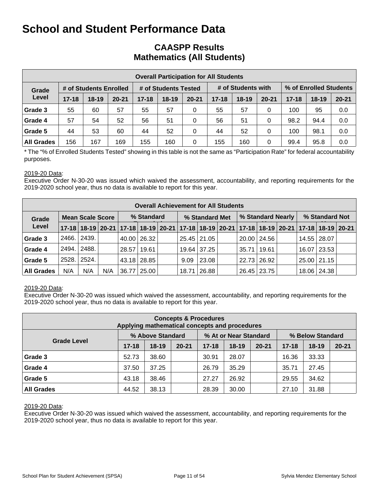### **CAASPP Results Mathematics (All Students)**

| <b>Overall Participation for All Students</b> |           |                        |           |           |                      |           |           |                    |           |           |                        |           |  |
|-----------------------------------------------|-----------|------------------------|-----------|-----------|----------------------|-----------|-----------|--------------------|-----------|-----------|------------------------|-----------|--|
| Grade                                         |           | # of Students Enrolled |           |           | # of Students Tested |           |           | # of Students with |           |           | % of Enrolled Students |           |  |
| Level                                         | $17 - 18$ | $18 - 19$              | $20 - 21$ | $17 - 18$ | $18 - 19$            | $20 - 21$ | $17 - 18$ | $18-19$            | $20 - 21$ | $17 - 18$ | $18 - 19$              | $20 - 21$ |  |
| Grade 3                                       | 55        | 60                     | 57        | 55        | 57                   | 0         | 55        | 57                 | 0         | 100       | 95                     | 0.0       |  |
| Grade 4                                       | 57        | 54                     | 52        | 56        | 51                   | $\Omega$  | 56        | 51                 | 0         | 98.2      | 94.4                   | 0.0       |  |
| Grade 5                                       | 44        | 53                     | 60        | 44        | 52                   | 0         | 44        | 52                 | 0         | 100       | 98.1                   | 0.0       |  |
| <b>All Grades</b>                             | 156       | 167                    | 169       | 155       | 160                  | 0         | 155       | 160                | 0         | 99.4      | 95.8                   | 0.0       |  |

\* The "% of Enrolled Students Tested" showing in this table is not the same as "Participation Rate" for federal accountability purposes.

#### 2019-20 Data:

Executive Order N-30-20 was issued which waived the assessment, accountability, and reporting requirements for the 2019-2020 school year, thus no data is available to report for this year.

|                   | <b>Overall Achievement for All Students</b> |                         |     |               |               |  |                |             |  |                    |               |  |                |                                                                                           |  |
|-------------------|---------------------------------------------|-------------------------|-----|---------------|---------------|--|----------------|-------------|--|--------------------|---------------|--|----------------|-------------------------------------------------------------------------------------------|--|
| Grade             |                                             | <b>Mean Scale Score</b> |     | % Standard    |               |  | % Standard Met |             |  | % Standard Nearly  |               |  | % Standard Not |                                                                                           |  |
| Level             |                                             |                         |     |               |               |  |                |             |  |                    |               |  |                | 17-18 18-19 20-21 17-18 18-19 20-21 17-18 18-19 20-21 17-18 18-19 20-21 17-18 18-19 20-21 |  |
| Grade 3           | 2466.                                       | 2439.                   |     |               | 40.00 26.32   |  |                | 25.45 21.05 |  |                    | 20.00   24.56 |  | 14.55 28.07    |                                                                                           |  |
| Grade 4           | 2494.                                       | 2488.                   |     | 28.57   19.61 |               |  |                | 19.64 37.25 |  | $35.71 \mid 19.61$ |               |  | 16.07 23.53    |                                                                                           |  |
| Grade 5           | 2528.                                       | 2524.                   |     |               | 43.18 28.85   |  | 9.09           | 23.08       |  |                    | 22.73   26.92 |  | 25.00 21.15    |                                                                                           |  |
| <b>All Grades</b> | N/A                                         | N/A                     | N/A |               | 36.77   25.00 |  | 18.71          | 26.88       |  |                    | 26.45   23.75 |  | 18.06 24.38    |                                                                                           |  |

#### 2019-20 Data:

Executive Order N-30-20 was issued which waived the assessment, accountability, and reporting requirements for the 2019-2020 school year, thus no data is available to report for this year.

| <b>Concepts &amp; Procedures</b><br>Applying mathematical concepts and procedures |           |                  |           |           |                       |           |                  |           |           |  |  |  |  |
|-----------------------------------------------------------------------------------|-----------|------------------|-----------|-----------|-----------------------|-----------|------------------|-----------|-----------|--|--|--|--|
|                                                                                   |           | % Above Standard |           |           | % At or Near Standard |           | % Below Standard |           |           |  |  |  |  |
| <b>Grade Level</b>                                                                | $17 - 18$ | $18-19$          | $20 - 21$ | $17 - 18$ | $18 - 19$             | $20 - 21$ | $17 - 18$        | $18 - 19$ | $20 - 21$ |  |  |  |  |
| Grade 3                                                                           | 52.73     | 38.60            |           | 30.91     | 28.07                 |           | 16.36            | 33.33     |           |  |  |  |  |
| Grade 4                                                                           | 37.50     | 37.25            |           | 26.79     | 35.29                 |           | 35.71            | 27.45     |           |  |  |  |  |
| Grade 5                                                                           | 43.18     | 38.46            |           | 27.27     | 26.92                 |           | 29.55            | 34.62     |           |  |  |  |  |
| <b>All Grades</b>                                                                 | 44.52     | 38.13            |           | 28.39     | 30.00                 |           | 27.10            | 31.88     |           |  |  |  |  |

#### 2019-20 Data: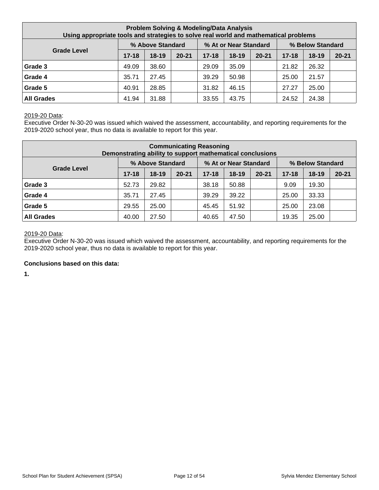| <b>Problem Solving &amp; Modeling/Data Analysis</b><br>Using appropriate tools and strategies to solve real world and mathematical problems |           |                  |           |           |                       |           |           |                  |           |  |  |
|---------------------------------------------------------------------------------------------------------------------------------------------|-----------|------------------|-----------|-----------|-----------------------|-----------|-----------|------------------|-----------|--|--|
|                                                                                                                                             |           | % Above Standard |           |           | % At or Near Standard |           |           | % Below Standard |           |  |  |
| <b>Grade Level</b>                                                                                                                          | $17 - 18$ | $18-19$          | $20 - 21$ | $17 - 18$ | $18-19$               | $20 - 21$ | $17 - 18$ | $18 - 19$        | $20 - 21$ |  |  |
| Grade 3                                                                                                                                     | 49.09     | 38.60            |           | 29.09     | 35.09                 |           | 21.82     | 26.32            |           |  |  |
| Grade 4                                                                                                                                     | 35.71     | 27.45            |           | 39.29     | 50.98                 |           | 25.00     | 21.57            |           |  |  |
| Grade 5                                                                                                                                     | 40.91     | 28.85            |           | 31.82     | 46.15                 |           | 27.27     | 25.00            |           |  |  |
| <b>All Grades</b>                                                                                                                           | 41.94     | 31.88            |           | 33.55     | 43.75                 |           | 24.52     | 24.38            |           |  |  |

Executive Order N-30-20 was issued which waived the assessment, accountability, and reporting requirements for the 2019-2020 school year, thus no data is available to report for this year.

| <b>Communicating Reasoning</b><br>Demonstrating ability to support mathematical conclusions |           |                  |           |           |                       |           |           |                  |           |  |  |
|---------------------------------------------------------------------------------------------|-----------|------------------|-----------|-----------|-----------------------|-----------|-----------|------------------|-----------|--|--|
|                                                                                             |           | % Above Standard |           |           | % At or Near Standard |           |           | % Below Standard |           |  |  |
| <b>Grade Level</b>                                                                          | $17 - 18$ | $18-19$          | $20 - 21$ | $17 - 18$ | $18 - 19$             | $20 - 21$ | $17 - 18$ | $18 - 19$        | $20 - 21$ |  |  |
| Grade 3                                                                                     | 52.73     | 29.82            |           | 38.18     | 50.88                 |           | 9.09      | 19.30            |           |  |  |
| Grade 4                                                                                     | 35.71     | 27.45            |           | 39.29     | 39.22                 |           | 25.00     | 33.33            |           |  |  |
| Grade 5                                                                                     | 29.55     | 25.00            |           | 45.45     | 51.92                 |           | 25.00     | 23.08            |           |  |  |
| <b>All Grades</b>                                                                           | 40.00     | 27.50            |           | 40.65     | 47.50                 |           | 19.35     | 25.00            |           |  |  |

#### 2019-20 Data:

Executive Order N-30-20 was issued which waived the assessment, accountability, and reporting requirements for the 2019-2020 school year, thus no data is available to report for this year.

#### **Conclusions based on this data:**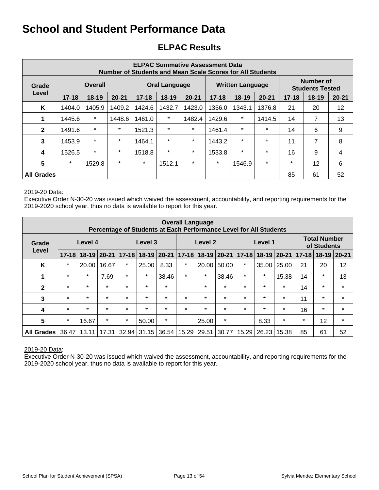## **ELPAC Results**

| <b>ELPAC Summative Assessment Data</b><br><b>Number of Students and Mean Scale Scores for All Students</b> |           |                |           |           |                      |           |           |                         |           |           |                                     |                |
|------------------------------------------------------------------------------------------------------------|-----------|----------------|-----------|-----------|----------------------|-----------|-----------|-------------------------|-----------|-----------|-------------------------------------|----------------|
| Grade                                                                                                      |           | <b>Overall</b> |           |           | <b>Oral Language</b> |           |           | <b>Written Language</b> |           |           | Number of<br><b>Students Tested</b> |                |
| Level                                                                                                      | $17 - 18$ | $18 - 19$      | $20 - 21$ | $17 - 18$ | $18-19$              | $20 - 21$ | $17 - 18$ | $18-19$                 | $20 - 21$ | $17 - 18$ | $18 - 19$                           | $20 - 21$      |
| K                                                                                                          | 1404.0    | 1405.9         | 1409.2    | 1424.6    | 1432.7               | 1423.0    | 1356.0    | 1343.1                  | 1376.8    | 21        | 20                                  | 12             |
| 1                                                                                                          | 1445.6    | $\star$        | 1448.6    | 1461.0    | $\star$              | 1482.4    | 1429.6    | $\star$                 | 1414.5    | 14        | 7                                   | 13             |
| $\mathbf{2}$                                                                                               | 1491.6    | $\star$        | $\star$   | 1521.3    | $\star$              | $\star$   | 1461.4    | $\star$                 | $\star$   | 14        | 6                                   | 9              |
| 3                                                                                                          | 1453.9    | $\star$        | $\star$   | 1464.1    | $\star$              | $\ast$    | 1443.2    | $\star$                 | $\star$   | 11        | 7                                   | 8              |
| $\boldsymbol{4}$                                                                                           | 1526.5    | $\star$        | $\star$   | 1518.8    | $\star$              | $\star$   | 1533.8    | $\star$                 | $\star$   | 16        | 9                                   | $\overline{4}$ |
| $5\phantom{1}$                                                                                             | $\star$   | 1529.8         | $\star$   | $\star$   | 1512.1               | $\ast$    | $\star$   | 1546.9                  | $\star$   | $\star$   | 12                                  | 6              |
| <b>All Grades</b>                                                                                          |           |                |           |           |                      |           |           |                         |           | 85        | 61                                  | 52             |

#### 2019-20 Data:

Executive Order N-30-20 was issued which waived the assessment, accountability, and reporting requirements for the 2019-2020 school year, thus no data is available to report for this year.

| <b>Overall Language</b><br>Percentage of Students at Each Performance Level for All Students |           |           |           |         |                       |         |         |                       |         |           |         |             |           |                                    |           |
|----------------------------------------------------------------------------------------------|-----------|-----------|-----------|---------|-----------------------|---------|---------|-----------------------|---------|-----------|---------|-------------|-----------|------------------------------------|-----------|
| Grade                                                                                        |           | Level 4   |           | Level 3 |                       |         |         | Level 2               |         |           | Level 1 |             |           | <b>Total Number</b><br>of Students |           |
| Level                                                                                        | $17 - 18$ | $18 - 19$ | $20 - 21$ |         | 17-18   18-19   20-21 |         |         | $17 - 18$ 18-19 20-21 |         | $17 - 18$ |         | 18-19 20-21 | $17 - 18$ | $18 - 19$                          | $20 - 21$ |
| K                                                                                            | $\ast$    | 20.00     | 16.67     | $\star$ | 25.00                 | 8.33    | $\star$ | 20.00                 | 50.00   | $\ast$    | 35.00   | 25.00       | 21        | 20                                 | 12        |
| 1                                                                                            | $\star$   | $\ast$    | 7.69      | $\star$ | $\star$               | 38.46   | $\star$ | $\ast$                | 38.46   | $\star$   | $\star$ | 15.38       | 14        | $\star$                            | 13        |
| $\mathbf{2}$                                                                                 | $\star$   | $\star$   | $\star$   | $\star$ | $\star$               | $\star$ |         | $\star$               | $\star$ | $\star$   | $\star$ | $\star$     | 14        | $\star$                            | $\star$   |
| $\mathbf{3}$                                                                                 | $\star$   | $\star$   | $\star$   | $\star$ | $\star$               | $\star$ | $\star$ | $\star$               | $\star$ | $\star$   | $\star$ | $\star$     | 11        | $\star$                            | $\star$   |
| 4                                                                                            | $\star$   | $\star$   | $\star$   | $\star$ | $\star$               | $\star$ | $\star$ | $\star$               | $\star$ | $\star$   | $\star$ | $\star$     | 16        | $\star$                            | $\star$   |
| $5\phantom{.0}$                                                                              | $\star$   | 16.67     | $\star$   | $\star$ | 50.00                 | $\star$ |         | 25.00                 | $\star$ |           | 8.33    | $\star$     | $\star$   | 12                                 | $\star$   |
| <b>All Grades</b>                                                                            | 36.47     | 13.11     | 17.31     |         | $32.94 \mid 31.15$    | 36.54   | 15.29   | 29.51                 | 30.77   | 15.29     | 26.23   | 15.38       | 85        | 61                                 | 52        |

#### 2019-20 Data: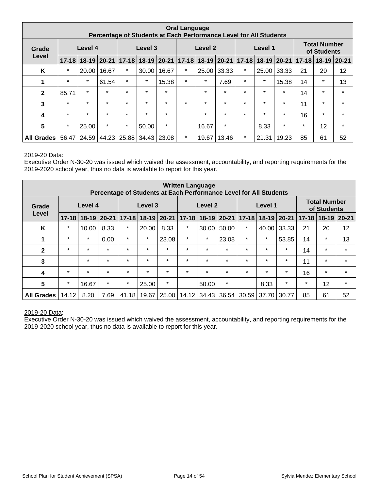| <b>Oral Language</b><br>Percentage of Students at Each Performance Level for All Students |           |                                               |               |                               |                 |           |         |                       |         |                                    |         |                   |           |           |           |
|-------------------------------------------------------------------------------------------|-----------|-----------------------------------------------|---------------|-------------------------------|-----------------|-----------|---------|-----------------------|---------|------------------------------------|---------|-------------------|-----------|-----------|-----------|
| Grade                                                                                     |           | Level 4                                       |               | Level 3<br>Level 2<br>Level 1 |                 |           |         |                       |         | <b>Total Number</b><br>of Students |         |                   |           |           |           |
| Level                                                                                     | $17 - 18$ |                                               | $18-19$ 20-21 |                               | $17 - 18$ 18-19 | $20 - 21$ |         | $17 - 18$ 18-19 20-21 |         |                                    |         | 17-18 18-19 20-21 | $17 - 18$ | $18 - 19$ | $20 - 21$ |
| K                                                                                         | $\ast$    | 20.00                                         | 16.67         | $\star$                       | 30.00           | 16.67     | $\star$ | 25.00                 | 33.33   | $\star$                            | 25.00   | 33.33             | 21        | 20        | 12        |
| 1                                                                                         | $\star$   | $\star$                                       | 61.54         | $\star$                       | $\star$         | 15.38     | $\star$ | $\star$               | 7.69    | $\star$                            | $\star$ | 15.38             | 14        | $\star$   | 13        |
| $\mathbf{2}$                                                                              | 85.71     | $\star$                                       | $\star$       | $\star$                       | $\star$         | $\star$   |         | $\star$               | $\star$ | $\star$                            | $\star$ | $\star$           | 14        | $\star$   | $\star$   |
| 3                                                                                         | $\star$   | $\star$                                       | $\star$       | $\star$                       | $\star$         | $\star$   | $\star$ | $\star$               | $\star$ | $\star$                            | $\star$ | $\star$           | 11        | $\star$   | $\star$   |
| 4                                                                                         | $\star$   | $\star$                                       | $\star$       | $\star$                       | $\star$         | $\star$   |         | $\star$               | $\star$ | $\star$                            | $\star$ | $\star$           | 16        | $\star$   | $\star$   |
| $5\phantom{1}$                                                                            | $\star$   | 25.00                                         | $\star$       | $\star$                       | 50.00           | $\star$   |         | 16.67                 | $\star$ |                                    | 8.33    | $\star$           | $\star$   | 12        | $\star$   |
| All Grades                                                                                |           | 56.47   24.59   44.23   25.88   34.43   23.08 |               |                               |                 |           | $\star$ | 19.67                 | 13.46   | $\star$                            | 21.31   | 19.23             | 85        | 61        | 52        |

Executive Order N-30-20 was issued which waived the assessment, accountability, and reporting requirements for the 2019-2020 school year, thus no data is available to report for this year.

| <b>Written Language</b><br>Percentage of Students at Each Performance Level for All Students |           |           |           |           |         |           |           |               |         |           |         |                 |           |                                    |           |
|----------------------------------------------------------------------------------------------|-----------|-----------|-----------|-----------|---------|-----------|-----------|---------------|---------|-----------|---------|-----------------|-----------|------------------------------------|-----------|
| Grade                                                                                        |           | Level 4   |           | Level 3   |         |           |           | Level 2       |         |           | Level 1 |                 |           | <b>Total Number</b><br>of Students |           |
| Level                                                                                        | $17 - 18$ | $18 - 19$ | $20 - 21$ | $17 - 18$ | $18-19$ | $20 - 21$ | $17 - 18$ | $18-19$ 20-21 |         | $17 - 18$ |         | $ 18-19 20-21 $ | $17 - 18$ | $18 - 19$                          | $20 - 21$ |
| K                                                                                            | $\star$   | 10.00     | 8.33      | $\ast$    | 20.00   | 8.33      | $\star$   | 30.00         | 50.00   | $\star$   | 40.00   | 33.33           | 21        | 20                                 | 12        |
|                                                                                              | $\star$   | $\star$   | 0.00      | $\star$   | $\star$ | 23.08     | $\star$   | $\star$       | 23.08   | $\star$   | $\star$ | 53.85           | 14        | $\star$                            | 13        |
| $\mathbf{2}$                                                                                 | $\star$   | $\star$   | $\star$   | $\star$   | $\ast$  | $\star$   | $\star$   | $\star$       | $\star$ | $\star$   | $\star$ | $\ast$          | 14        | $\ast$                             | $\star$   |
| 3                                                                                            |           | $\star$   | $\star$   | $\star$   | $\star$ | $\star$   | $\star$   | $\star$       | $\star$ | $\star$   | $\star$ | $\star$         | 11        | $\star$                            | $\star$   |
| 4                                                                                            | $\star$   | $\star$   | $\star$   | $\star$   | $\star$ | $\star$   | $\star$   | $\star$       | $\star$ | $\star$   | $\star$ | $\star$         | 16        | $\star$                            | $\star$   |
| 5                                                                                            | $\star$   | 16.67     | $\star$   | $\star$   | 25.00   | $\star$   |           | 50.00         | *       |           | 8.33    | $\star$         | $\star$   | 12                                 | $\star$   |
| <b>All Grades</b>                                                                            | 14.12     | 8.20      | 7.69      | 41.18     | 19.67   | 25.00     | 14.12     | 34.43         | 36.54   | 30.59     | 37.70   | 30.77           | 85        | 61                                 | 52        |

#### 2019-20 Data: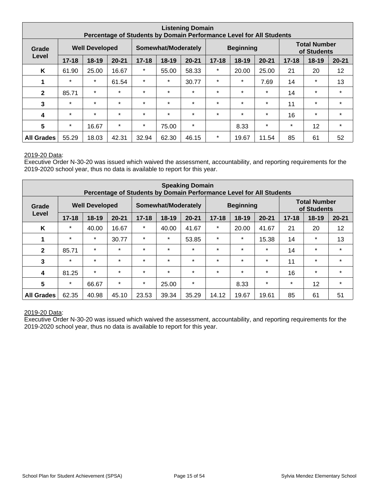| <b>Listening Domain</b><br>Percentage of Students by Domain Performance Level for All Students |           |                       |           |           |                            |           |           |                  |           |           |                                    |           |
|------------------------------------------------------------------------------------------------|-----------|-----------------------|-----------|-----------|----------------------------|-----------|-----------|------------------|-----------|-----------|------------------------------------|-----------|
| Grade                                                                                          |           | <b>Well Developed</b> |           |           | <b>Somewhat/Moderately</b> |           |           | <b>Beginning</b> |           |           | <b>Total Number</b><br>of Students |           |
| Level                                                                                          | $17 - 18$ | $18-19$               | $20 - 21$ | $17 - 18$ | $18 - 19$                  | $20 - 21$ | $17 - 18$ | $18 - 19$        | $20 - 21$ | $17 - 18$ | 18-19                              | $20 - 21$ |
| K                                                                                              | 61.90     | 25.00                 | 16.67     | $\star$   | 55.00                      | 58.33     | $\star$   | 20.00            | 25.00     | 21        | 20                                 | 12        |
| 1                                                                                              | $\star$   | $\star$               | 61.54     | $\star$   | $\star$                    | 30.77     | $\ast$    | $\star$          | 7.69      | 14        | $\ast$                             | 13        |
| $\mathbf{2}$                                                                                   | 85.71     | $\star$               | $\star$   | $\star$   | $\star$                    | $\star$   | $\star$   | $\star$          | $\star$   | 14        | $\star$                            | $\star$   |
| 3                                                                                              | $\star$   | $\star$               | $\star$   | $\star$   | $\star$                    | $\star$   | $\star$   | $\star$          | $\star$   | 11        | $\star$                            | $\star$   |
| 4                                                                                              | $\star$   | $\star$               | $\star$   | $\star$   | $\star$                    | $\star$   | $\star$   | $\star$          | $\star$   | 16        | $\ast$                             | $\star$   |
| $\overline{\mathbf{5}}$                                                                        | $\star$   | 16.67                 | $\star$   | $\star$   | 75.00                      | $\star$   |           | 8.33             | $\star$   | $\ast$    | 12                                 | $\star$   |
| <b>All Grades</b>                                                                              | 55.29     | 18.03                 | 42.31     | 32.94     | 62.30                      | 46.15     | $\star$   | 19.67            | 11.54     | 85        | 61                                 | 52        |

Executive Order N-30-20 was issued which waived the assessment, accountability, and reporting requirements for the 2019-2020 school year, thus no data is available to report for this year.

| <b>Speaking Domain</b><br>Percentage of Students by Domain Performance Level for All Students |           |                       |           |           |                     |           |           |                  |           |           |                                    |           |
|-----------------------------------------------------------------------------------------------|-----------|-----------------------|-----------|-----------|---------------------|-----------|-----------|------------------|-----------|-----------|------------------------------------|-----------|
| Grade                                                                                         |           | <b>Well Developed</b> |           |           | Somewhat/Moderately |           |           | <b>Beginning</b> |           |           | <b>Total Number</b><br>of Students |           |
| Level                                                                                         | $17 - 18$ | $18 - 19$             | $20 - 21$ | $17 - 18$ | $18 - 19$           | $20 - 21$ | $17 - 18$ | $18-19$          | $20 - 21$ | $17 - 18$ | $18 - 19$                          | $20 - 21$ |
| K                                                                                             | $\star$   | 40.00                 | 16.67     | $\star$   | 40.00               | 41.67     | $\star$   | 20.00            | 41.67     | 21        | 20                                 | 12        |
| 1                                                                                             | $\star$   | $\star$               | 30.77     | $\star$   | $\star$             | 53.85     | $\ast$    | $\ast$           | 15.38     | 14        | $\ast$                             | 13        |
| $\mathbf{2}$                                                                                  | 85.71     | $\star$               | $\star$   | $\star$   | $\star$             | $\star$   | $\star$   | $\star$          | $\star$   | 14        | $\ast$                             | $\star$   |
| 3                                                                                             | $\star$   | $\star$               | $\star$   | $\star$   | $\star$             | $\star$   | $\star$   | $\star$          | $\star$   | 11        | $\star$                            | $\star$   |
| 4                                                                                             | 81.25     | $\star$               | $\star$   | $\star$   | $\star$             | $\star$   | $\star$   | $\star$          | $\star$   | 16        | $\star$                            | $\star$   |
| $\overline{\mathbf{5}}$                                                                       | $\star$   | 66.67                 | $\star$   | $\star$   | 25.00               | $\star$   |           | 8.33             | $\star$   | $\ast$    | 12                                 | $\star$   |
| <b>All Grades</b>                                                                             | 62.35     | 40.98                 | 45.10     | 23.53     | 39.34               | 35.29     | 14.12     | 19.67            | 19.61     | 85        | 61                                 | 51        |

#### 2019-20 Data: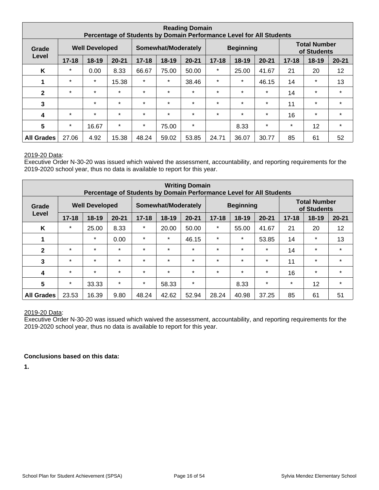| <b>Reading Domain</b><br>Percentage of Students by Domain Performance Level for All Students |           |                       |           |           |                     |           |           |                  |           |           |                                    |           |
|----------------------------------------------------------------------------------------------|-----------|-----------------------|-----------|-----------|---------------------|-----------|-----------|------------------|-----------|-----------|------------------------------------|-----------|
| Grade                                                                                        |           | <b>Well Developed</b> |           |           | Somewhat/Moderately |           |           | <b>Beginning</b> |           |           | <b>Total Number</b><br>of Students |           |
| Level                                                                                        | $17 - 18$ | $18 - 19$             | $20 - 21$ | $17 - 18$ | 18-19               | $20 - 21$ | $17 - 18$ | $18 - 19$        | $20 - 21$ | $17 - 18$ | 18-19                              | $20 - 21$ |
| K                                                                                            | $\star$   | 0.00                  | 8.33      | 66.67     | 75.00               | 50.00     | $\ast$    | 25.00            | 41.67     | 21        | 20                                 | 12        |
| 1                                                                                            | $\star$   | $\star$               | 15.38     | $\star$   | $\star$             | 38.46     | $\ast$    | $\star$          | 46.15     | 14        | $\star$                            | 13        |
| $\mathbf{2}$                                                                                 | $\star$   | $\star$               | $\star$   | $\star$   | $\star$             | $\star$   | $\star$   | $\star$          | $\star$   | 14        | $\star$                            | $\star$   |
| 3                                                                                            |           | $\star$               | $\star$   | $\star$   | $\star$             | $\star$   | $\star$   | $\star$          | $\star$   | 11        | $\star$                            | $\star$   |
| 4                                                                                            | $\star$   | $\star$               | $\star$   | $\star$   | $\star$             | $\star$   | $\star$   | $\star$          | $\star$   | 16        | $\star$                            | $\star$   |
| $5\phantom{.0}$                                                                              | $\star$   | 16.67                 | $\star$   | $\ast$    | 75.00               | $\star$   |           | 8.33             | $\star$   | $\ast$    | 12                                 | $\star$   |
| <b>All Grades</b>                                                                            | 27.06     | 4.92                  | 15.38     | 48.24     | 59.02               | 53.85     | 24.71     | 36.07            | 30.77     | 85        | 61                                 | 52        |

Executive Order N-30-20 was issued which waived the assessment, accountability, and reporting requirements for the 2019-2020 school year, thus no data is available to report for this year.

| <b>Writing Domain</b><br>Percentage of Students by Domain Performance Level for All Students |           |                       |           |           |                     |           |           |                  |           |           |                                    |           |
|----------------------------------------------------------------------------------------------|-----------|-----------------------|-----------|-----------|---------------------|-----------|-----------|------------------|-----------|-----------|------------------------------------|-----------|
| Grade                                                                                        |           | <b>Well Developed</b> |           |           | Somewhat/Moderately |           |           | <b>Beginning</b> |           |           | <b>Total Number</b><br>of Students |           |
| Level                                                                                        | $17 - 18$ | $18 - 19$             | $20 - 21$ | $17 - 18$ | 18-19               | $20 - 21$ | $17 - 18$ | $18 - 19$        | $20 - 21$ | $17 - 18$ | 18-19                              | $20 - 21$ |
| K                                                                                            | $\star$   | 25.00                 | 8.33      | $\star$   | 20.00               | 50.00     | $\ast$    | 55.00            | 41.67     | 21        | 20                                 | 12        |
|                                                                                              |           | $\star$               | 0.00      | $\star$   | $\star$             | 46.15     | $\ast$    | $\ast$           | 53.85     | 14        | $\ast$                             | 13        |
| $\mathbf{2}$                                                                                 | $\star$   | $\star$               | $\star$   | $\star$   | $\star$             | $\star$   | $\star$   | $\star$          | $\star$   | 14        | $\star$                            | $\star$   |
| 3                                                                                            | $\star$   | $\star$               | $\star$   | $\star$   | $\star$             | $\star$   | $\star$   | $\star$          | $\star$   | 11        | $\star$                            | $\star$   |
| 4                                                                                            | $\star$   | $\star$               | $\star$   | $\star$   | $\star$             | $\star$   | $\star$   | $\star$          | $\star$   | 16        | $\star$                            | $\star$   |
| 5                                                                                            | $\star$   | 33.33                 | $\star$   | $\star$   | 58.33               | $\star$   |           | 8.33             | $\star$   | $\star$   | 12                                 | $\star$   |
| <b>All Grades</b>                                                                            | 23.53     | 16.39                 | 9.80      | 48.24     | 42.62               | 52.94     | 28.24     | 40.98            | 37.25     | 85        | 61                                 | 51        |

#### 2019-20 Data:

Executive Order N-30-20 was issued which waived the assessment, accountability, and reporting requirements for the 2019-2020 school year, thus no data is available to report for this year.

#### **Conclusions based on this data:**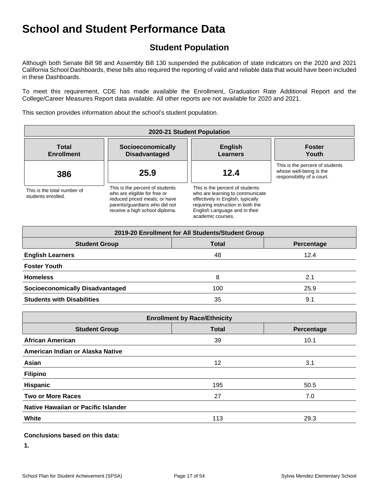## **Student Population**

Although both Senate Bill 98 and Assembly Bill 130 suspended the publication of state indicators on the 2020 and 2021 California School Dashboards, these bills also required the reporting of valid and reliable data that would have been included in these Dashboards.

To meet this requirement, CDE has made available the Enrollment, Graduation Rate Additional Report and the College/Career Measures Report data available. All other reports are not available for 2020 and 2021.

This section provides information about the school's student population.

| 2020-21 Student Population                        |                                                                                                                                                                     |                                                                                                                                                                                                    |                                                                                          |  |  |  |  |  |  |
|---------------------------------------------------|---------------------------------------------------------------------------------------------------------------------------------------------------------------------|----------------------------------------------------------------------------------------------------------------------------------------------------------------------------------------------------|------------------------------------------------------------------------------------------|--|--|--|--|--|--|
| <b>Total</b><br><b>Enrollment</b>                 | Socioeconomically<br><b>Disadvantaged</b>                                                                                                                           | <b>English</b><br><b>Learners</b>                                                                                                                                                                  | <b>Foster</b><br>Youth                                                                   |  |  |  |  |  |  |
| 386                                               | 25.9                                                                                                                                                                | 12.4                                                                                                                                                                                               | This is the percent of students<br>whose well-being is the<br>responsibility of a court. |  |  |  |  |  |  |
| This is the total number of<br>students enrolled. | This is the percent of students<br>who are eligible for free or<br>reduced priced meals; or have<br>parents/quardians who did not<br>receive a high school diploma. | This is the percent of students<br>who are learning to communicate<br>effectively in English, typically<br>requiring instruction in both the<br>English Language and in their<br>academic courses. |                                                                                          |  |  |  |  |  |  |

| 2019-20 Enrollment for All Students/Student Group |              |            |  |  |  |  |  |  |  |  |
|---------------------------------------------------|--------------|------------|--|--|--|--|--|--|--|--|
| <b>Student Group</b>                              | <b>Total</b> | Percentage |  |  |  |  |  |  |  |  |
| <b>English Learners</b>                           | 48           | 12.4       |  |  |  |  |  |  |  |  |
| <b>Foster Youth</b>                               |              |            |  |  |  |  |  |  |  |  |
| <b>Homeless</b>                                   | 8            | 2.1        |  |  |  |  |  |  |  |  |
| <b>Socioeconomically Disadvantaged</b>            | 100          | 25.9       |  |  |  |  |  |  |  |  |
| <b>Students with Disabilities</b>                 | 35           | 9.1        |  |  |  |  |  |  |  |  |

| <b>Enrollment by Race/Ethnicity</b>                |     |      |  |  |  |
|----------------------------------------------------|-----|------|--|--|--|
| <b>Total</b><br><b>Student Group</b><br>Percentage |     |      |  |  |  |
| <b>African American</b>                            | 39  | 10.1 |  |  |  |
| American Indian or Alaska Native                   |     |      |  |  |  |
| Asian                                              | 12  | 3.1  |  |  |  |
| <b>Filipino</b>                                    |     |      |  |  |  |
| <b>Hispanic</b>                                    | 195 | 50.5 |  |  |  |
| <b>Two or More Races</b>                           | 27  | 7.0  |  |  |  |
| Native Hawaiian or Pacific Islander                |     |      |  |  |  |
| White                                              | 113 | 29.3 |  |  |  |

#### **Conclusions based on this data:**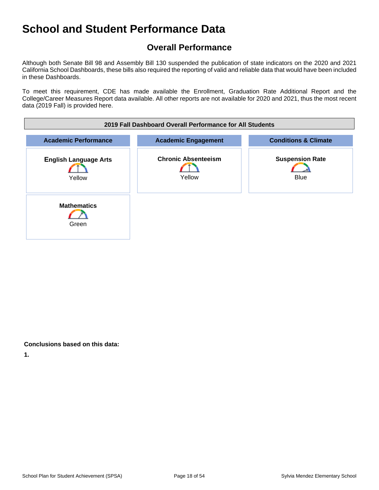## **Overall Performance**

Although both Senate Bill 98 and Assembly Bill 130 suspended the publication of state indicators on the 2020 and 2021 California School Dashboards, these bills also required the reporting of valid and reliable data that would have been included in these Dashboards.

To meet this requirement, CDE has made available the Enrollment, Graduation Rate Additional Report and the College/Career Measures Report data available. All other reports are not available for 2020 and 2021, thus the most recent data (2019 Fall) is provided here.

| 2019 Fall Dashboard Overall Performance for All Students |                                      |                                       |  |
|----------------------------------------------------------|--------------------------------------|---------------------------------------|--|
| <b>Academic Performance</b>                              | <b>Academic Engagement</b>           | <b>Conditions &amp; Climate</b>       |  |
| <b>English Language Arts</b><br>Yellow                   | <b>Chronic Absenteeism</b><br>Yellow | <b>Suspension Rate</b><br><b>Blue</b> |  |
| <b>Mathematics</b><br>Green                              |                                      |                                       |  |

#### **Conclusions based on this data:**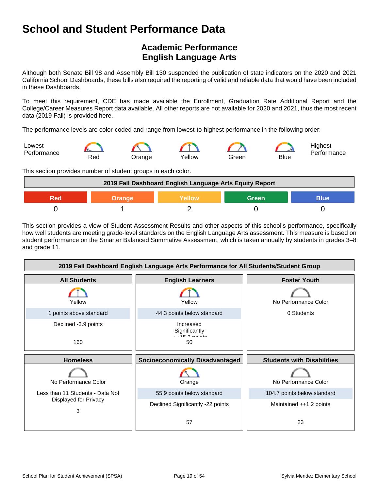## **Academic Performance English Language Arts**

Although both Senate Bill 98 and Assembly Bill 130 suspended the publication of state indicators on the 2020 and 2021 California School Dashboards, these bills also required the reporting of valid and reliable data that would have been included in these Dashboards.

To meet this requirement, CDE has made available the Enrollment, Graduation Rate Additional Report and the College/Career Measures Report data available. All other reports are not available for 2020 and 2021, thus the most recent data (2019 Fall) is provided here.

The performance levels are color-coded and range from lowest-to-highest performance in the following order:



This section provides number of student groups in each color.

| 2019 Fall Dashboard English Language Arts Equity Report |  |  |  |  |
|---------------------------------------------------------|--|--|--|--|
| Green<br><b>Blue</b><br>Yellow<br>2 A d<br>Orange       |  |  |  |  |
|                                                         |  |  |  |  |

This section provides a view of Student Assessment Results and other aspects of this school's performance, specifically how well students are meeting grade-level standards on the English Language Arts assessment. This measure is based on student performance on the Smarter Balanced Summative Assessment, which is taken annually by students in grades 3–8 and grade 11.

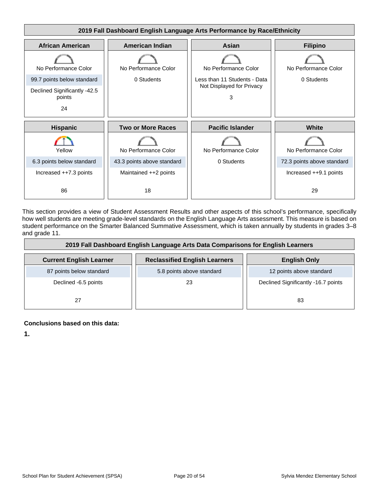

This section provides a view of Student Assessment Results and other aspects of this school's performance, specifically how well students are meeting grade-level standards on the English Language Arts assessment. This measure is based on student performance on the Smarter Balanced Summative Assessment, which is taken annually by students in grades 3–8 and grade 11.

| 2019 Fall Dashboard English Language Arts Data Comparisons for English Learners |                                      |                                     |  |
|---------------------------------------------------------------------------------|--------------------------------------|-------------------------------------|--|
| <b>Current English Learner</b>                                                  | <b>Reclassified English Learners</b> | <b>English Only</b>                 |  |
| 87 points below standard                                                        | 5.8 points above standard            | 12 points above standard            |  |
| Declined -6.5 points                                                            | 23                                   | Declined Significantly -16.7 points |  |
| 27                                                                              |                                      | 83                                  |  |

#### **Conclusions based on this data:**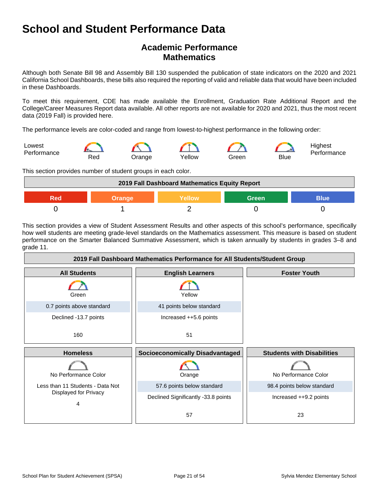## **Academic Performance Mathematics**

Although both Senate Bill 98 and Assembly Bill 130 suspended the publication of state indicators on the 2020 and 2021 California School Dashboards, these bills also required the reporting of valid and reliable data that would have been included in these Dashboards.

To meet this requirement, CDE has made available the Enrollment, Graduation Rate Additional Report and the College/Career Measures Report data available. All other reports are not available for 2020 and 2021, thus the most recent data (2019 Fall) is provided here.

The performance levels are color-coded and range from lowest-to-highest performance in the following order:



This section provides number of student groups in each color.

| 2019 Fall Dashboard Mathematics Equity Report      |  |  |  |  |
|----------------------------------------------------|--|--|--|--|
| <b>Green</b><br>Yellow<br>Blue'<br>Orange<br>2 A d |  |  |  |  |
|                                                    |  |  |  |  |

This section provides a view of Student Assessment Results and other aspects of this school's performance, specifically how well students are meeting grade-level standards on the Mathematics assessment. This measure is based on student performance on the Smarter Balanced Summative Assessment, which is taken annually by students in grades 3–8 and grade 11.

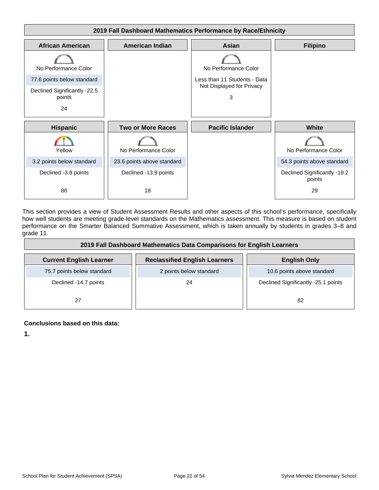

This section provides a view of Student Assessment Results and other aspects of this school's performance, specifically how well students are meeting grade-level standards on the Mathematics assessment. This measure is based on student performance on the Smarter Balanced Summative Assessment, which is taken annually by students in grades 3–8 and grade 11.

| 2019 Fall Dashboard Mathematics Data Comparisons for English Learners |                                      |                                     |  |
|-----------------------------------------------------------------------|--------------------------------------|-------------------------------------|--|
| <b>Current English Learner</b>                                        | <b>Reclassified English Learners</b> | <b>English Only</b>                 |  |
| 75.7 points below standard                                            | 2 points below standard              | 10.6 points above standard          |  |
| Declined -14.7 points                                                 | 24                                   | Declined Significantly -25.1 points |  |
| 27                                                                    |                                      | 82                                  |  |

#### **Conclusions based on this data:**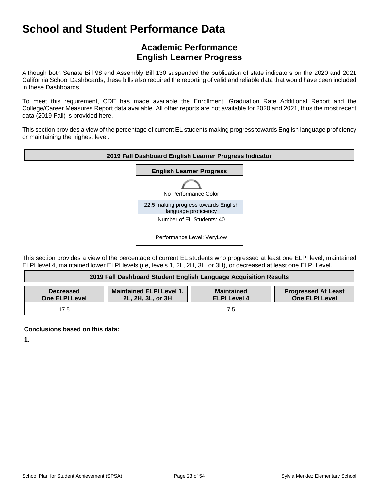## **Academic Performance English Learner Progress**

Although both Senate Bill 98 and Assembly Bill 130 suspended the publication of state indicators on the 2020 and 2021 California School Dashboards, these bills also required the reporting of valid and reliable data that would have been included in these Dashboards.

To meet this requirement, CDE has made available the Enrollment, Graduation Rate Additional Report and the College/Career Measures Report data available. All other reports are not available for 2020 and 2021, thus the most recent data (2019 Fall) is provided here.

This section provides a view of the percentage of current EL students making progress towards English language proficiency or maintaining the highest level.



This section provides a view of the percentage of current EL students who progressed at least one ELPI level, maintained ELPI level 4, maintained lower ELPI levels (i.e, levels 1, 2L, 2H, 3L, or 3H), or decreased at least one ELPI Level.

| 2019 Fall Dashboard Student English Language Acquisition Results |                                                      |                                          |                                                     |
|------------------------------------------------------------------|------------------------------------------------------|------------------------------------------|-----------------------------------------------------|
| <b>Decreased</b><br><b>One ELPI Level</b>                        | <b>Maintained ELPI Level 1,</b><br>2L, 2H, 3L, or 3H | <b>Maintained</b><br><b>ELPI Level 4</b> | <b>Progressed At Least</b><br><b>One ELPI Level</b> |
| 17.5                                                             |                                                      | 7.5                                      |                                                     |

**Conclusions based on this data:**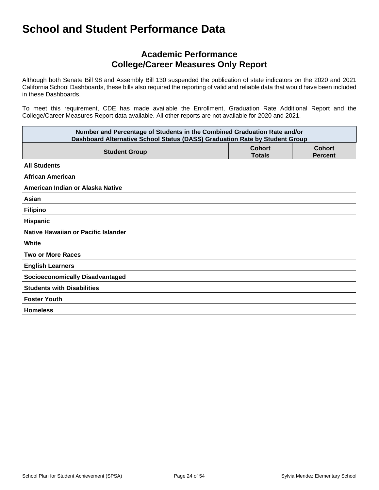### **Academic Performance College/Career Measures Only Report**

Although both Senate Bill 98 and Assembly Bill 130 suspended the publication of state indicators on the 2020 and 2021 California School Dashboards, these bills also required the reporting of valid and reliable data that would have been included in these Dashboards.

To meet this requirement, CDE has made available the Enrollment, Graduation Rate Additional Report and the College/Career Measures Report data available. All other reports are not available for 2020 and 2021.

| Number and Percentage of Students in the Combined Graduation Rate and/or<br>Dashboard Alternative School Status (DASS) Graduation Rate by Student Group |                                |                                 |  |
|---------------------------------------------------------------------------------------------------------------------------------------------------------|--------------------------------|---------------------------------|--|
| <b>Student Group</b>                                                                                                                                    | <b>Cohort</b><br><b>Totals</b> | <b>Cohort</b><br><b>Percent</b> |  |
| <b>All Students</b>                                                                                                                                     |                                |                                 |  |
| <b>African American</b>                                                                                                                                 |                                |                                 |  |
| American Indian or Alaska Native                                                                                                                        |                                |                                 |  |
| Asian                                                                                                                                                   |                                |                                 |  |
| <b>Filipino</b>                                                                                                                                         |                                |                                 |  |
| Hispanic                                                                                                                                                |                                |                                 |  |
| Native Hawaiian or Pacific Islander                                                                                                                     |                                |                                 |  |
| White                                                                                                                                                   |                                |                                 |  |
| <b>Two or More Races</b>                                                                                                                                |                                |                                 |  |
| <b>English Learners</b>                                                                                                                                 |                                |                                 |  |
| <b>Socioeconomically Disadvantaged</b>                                                                                                                  |                                |                                 |  |
| <b>Students with Disabilities</b>                                                                                                                       |                                |                                 |  |
| <b>Foster Youth</b>                                                                                                                                     |                                |                                 |  |
| <b>Homeless</b>                                                                                                                                         |                                |                                 |  |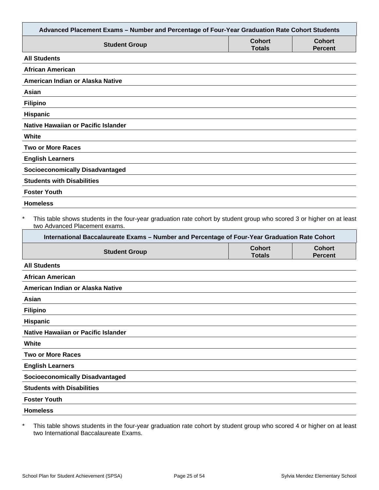| Advanced Placement Exams - Number and Percentage of Four-Year Graduation Rate Cohort Students                                                                                                                                                                     |                                |                                 |
|-------------------------------------------------------------------------------------------------------------------------------------------------------------------------------------------------------------------------------------------------------------------|--------------------------------|---------------------------------|
| <b>Student Group</b>                                                                                                                                                                                                                                              | <b>Cohort</b><br><b>Totals</b> | <b>Cohort</b><br><b>Percent</b> |
| <b>All Students</b>                                                                                                                                                                                                                                               |                                |                                 |
| <b>African American</b>                                                                                                                                                                                                                                           |                                |                                 |
| American Indian or Alaska Native                                                                                                                                                                                                                                  |                                |                                 |
| Asian                                                                                                                                                                                                                                                             |                                |                                 |
| <b>Filipino</b>                                                                                                                                                                                                                                                   |                                |                                 |
| Hispanic                                                                                                                                                                                                                                                          |                                |                                 |
| <b>Native Hawaiian or Pacific Islander</b>                                                                                                                                                                                                                        |                                |                                 |
| White                                                                                                                                                                                                                                                             |                                |                                 |
| <b>Two or More Races</b>                                                                                                                                                                                                                                          |                                |                                 |
| <b>English Learners</b>                                                                                                                                                                                                                                           |                                |                                 |
| <b>Socioeconomically Disadvantaged</b>                                                                                                                                                                                                                            |                                |                                 |
| <b>Students with Disabilities</b>                                                                                                                                                                                                                                 |                                |                                 |
| <b>Foster Youth</b>                                                                                                                                                                                                                                               |                                |                                 |
| <b>Homeless</b>                                                                                                                                                                                                                                                   |                                |                                 |
| $\ast$<br>This table shows students in the four-year graduation rate cohort by student group who scored 3 or higher on at least<br>two Advanced Placement exams.<br>International Baccalaureate Exams - Number and Percentage of Four-Year Graduation Rate Cohort |                                |                                 |
| <b>Student Group</b>                                                                                                                                                                                                                                              | <b>Cohort</b><br><b>Totals</b> | <b>Cohort</b><br><b>Percent</b> |
| <b>All Students</b>                                                                                                                                                                                                                                               |                                |                                 |
| <b>African American</b>                                                                                                                                                                                                                                           |                                |                                 |
| American Indian or Alaska Native                                                                                                                                                                                                                                  |                                |                                 |
| Asian                                                                                                                                                                                                                                                             |                                |                                 |
| <b>Filipino</b>                                                                                                                                                                                                                                                   |                                |                                 |
| Hispanic                                                                                                                                                                                                                                                          |                                |                                 |
| Native Hawaiian or Pacific Islander                                                                                                                                                                                                                               |                                |                                 |
| White                                                                                                                                                                                                                                                             |                                |                                 |
| <b>Two or More Races</b>                                                                                                                                                                                                                                          |                                |                                 |
| <b>English Learners</b>                                                                                                                                                                                                                                           |                                |                                 |
| <b>Socioeconomically Disadvantaged</b>                                                                                                                                                                                                                            |                                |                                 |
| <b>Students with Disabilities</b>                                                                                                                                                                                                                                 |                                |                                 |
| <b>Foster Youth</b>                                                                                                                                                                                                                                               |                                |                                 |
| <b>Homeless</b>                                                                                                                                                                                                                                                   |                                |                                 |
|                                                                                                                                                                                                                                                                   |                                |                                 |

\* This table shows students in the four-year graduation rate cohort by student group who scored 4 or higher on at least two International Baccalaureate Exams.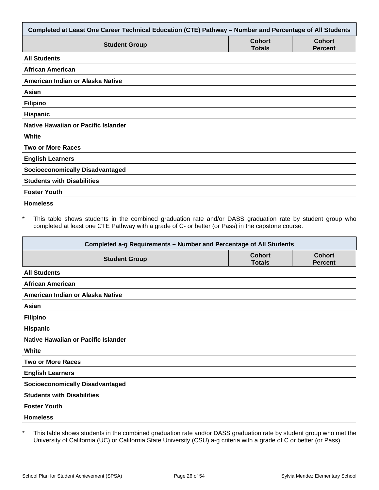| Completed at Least One Career Technical Education (CTE) Pathway - Number and Percentage of All Students |                                |                                 |
|---------------------------------------------------------------------------------------------------------|--------------------------------|---------------------------------|
| <b>Student Group</b>                                                                                    | <b>Cohort</b><br><b>Totals</b> | <b>Cohort</b><br><b>Percent</b> |
| <b>All Students</b>                                                                                     |                                |                                 |
| <b>African American</b>                                                                                 |                                |                                 |
| American Indian or Alaska Native                                                                        |                                |                                 |
| Asian                                                                                                   |                                |                                 |
| <b>Filipino</b>                                                                                         |                                |                                 |
| Hispanic                                                                                                |                                |                                 |
| Native Hawaiian or Pacific Islander                                                                     |                                |                                 |
| White                                                                                                   |                                |                                 |
| <b>Two or More Races</b>                                                                                |                                |                                 |
| <b>English Learners</b>                                                                                 |                                |                                 |
| <b>Socioeconomically Disadvantaged</b>                                                                  |                                |                                 |
| <b>Students with Disabilities</b>                                                                       |                                |                                 |
| <b>Foster Youth</b>                                                                                     |                                |                                 |
| <b>Homeless</b>                                                                                         |                                |                                 |

This table shows students in the combined graduation rate and/or DASS graduation rate by student group who completed at least one CTE Pathway with a grade of C- or better (or Pass) in the capstone course.

| Completed a-g Requirements - Number and Percentage of All Students |                                |                                 |  |
|--------------------------------------------------------------------|--------------------------------|---------------------------------|--|
| <b>Student Group</b>                                               | <b>Cohort</b><br><b>Totals</b> | <b>Cohort</b><br><b>Percent</b> |  |
| <b>All Students</b>                                                |                                |                                 |  |
| <b>African American</b>                                            |                                |                                 |  |
| American Indian or Alaska Native                                   |                                |                                 |  |
| Asian                                                              |                                |                                 |  |
| <b>Filipino</b>                                                    |                                |                                 |  |
| <b>Hispanic</b>                                                    |                                |                                 |  |
| Native Hawaiian or Pacific Islander                                |                                |                                 |  |
| White                                                              |                                |                                 |  |
| <b>Two or More Races</b>                                           |                                |                                 |  |
| <b>English Learners</b>                                            |                                |                                 |  |
| <b>Socioeconomically Disadvantaged</b>                             |                                |                                 |  |
| <b>Students with Disabilities</b>                                  |                                |                                 |  |
| <b>Foster Youth</b>                                                |                                |                                 |  |
| <b>Homeless</b>                                                    |                                |                                 |  |

\* This table shows students in the combined graduation rate and/or DASS graduation rate by student group who met the University of California (UC) or California State University (CSU) a-g criteria with a grade of C or better (or Pass).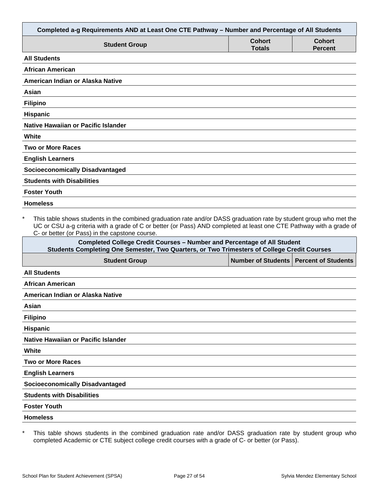| Completed a-g Requirements AND at Least One CTE Pathway - Number and Percentage of All Students                                                                                                                                                                                                        |                                |                                 |
|--------------------------------------------------------------------------------------------------------------------------------------------------------------------------------------------------------------------------------------------------------------------------------------------------------|--------------------------------|---------------------------------|
| <b>Student Group</b>                                                                                                                                                                                                                                                                                   | <b>Cohort</b><br><b>Totals</b> | <b>Cohort</b><br><b>Percent</b> |
| <b>All Students</b>                                                                                                                                                                                                                                                                                    |                                |                                 |
| <b>African American</b>                                                                                                                                                                                                                                                                                |                                |                                 |
| American Indian or Alaska Native                                                                                                                                                                                                                                                                       |                                |                                 |
| Asian                                                                                                                                                                                                                                                                                                  |                                |                                 |
| <b>Filipino</b>                                                                                                                                                                                                                                                                                        |                                |                                 |
| <b>Hispanic</b>                                                                                                                                                                                                                                                                                        |                                |                                 |
| Native Hawaiian or Pacific Islander                                                                                                                                                                                                                                                                    |                                |                                 |
| White                                                                                                                                                                                                                                                                                                  |                                |                                 |
| <b>Two or More Races</b>                                                                                                                                                                                                                                                                               |                                |                                 |
| <b>English Learners</b>                                                                                                                                                                                                                                                                                |                                |                                 |
| <b>Socioeconomically Disadvantaged</b>                                                                                                                                                                                                                                                                 |                                |                                 |
| <b>Students with Disabilities</b>                                                                                                                                                                                                                                                                      |                                |                                 |
| <b>Foster Youth</b>                                                                                                                                                                                                                                                                                    |                                |                                 |
| <b>Homeless</b>                                                                                                                                                                                                                                                                                        |                                |                                 |
| $\star$<br>This table shows students in the combined graduation rate and/or DASS graduation rate by student group who met the<br>UC or CSU a-g criteria with a grade of C or better (or Pass) AND completed at least one CTE Pathway with a grade of<br>C- or better (or Pass) in the capstone course. |                                |                                 |
| <b>Completed College Credit Courses - Number and Percentage of All Student</b><br>Students Completing One Semester, Two Quarters, or Two Trimesters of College Credit Courses                                                                                                                          |                                |                                 |
| <b>Student Group</b>                                                                                                                                                                                                                                                                                   | <b>Number of Students</b>      | <b>Percent of Students</b>      |
| <b>All Students</b>                                                                                                                                                                                                                                                                                    |                                |                                 |
| African American                                                                                                                                                                                                                                                                                       |                                |                                 |
| American Indian or Alaska Native                                                                                                                                                                                                                                                                       |                                |                                 |
| Asian                                                                                                                                                                                                                                                                                                  |                                |                                 |

**Hispanic**

**Native Hawaiian or Pacific Islander**

**White**

**Two or More Races**

**English Learners**

**Socioeconomically Disadvantaged**

**Students with Disabilities**

**Foster Youth**

**Homeless**

\* This table shows students in the combined graduation rate and/or DASS graduation rate by student group who completed Academic or CTE subject college credit courses with a grade of C- or better (or Pass).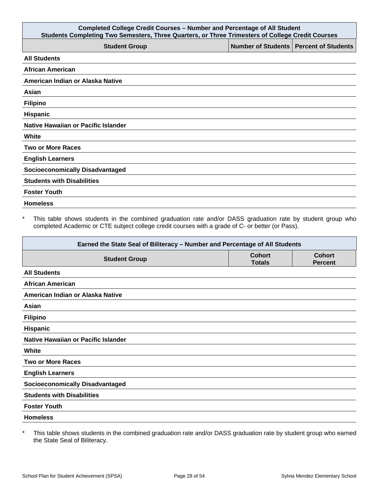| <b>Completed College Credit Courses - Number and Percentage of All Student</b><br>Students Completing Two Semesters, Three Quarters, or Three Trimesters of College Credit Courses |                                          |  |
|------------------------------------------------------------------------------------------------------------------------------------------------------------------------------------|------------------------------------------|--|
| <b>Student Group</b>                                                                                                                                                               | Number of Students   Percent of Students |  |
| <b>All Students</b>                                                                                                                                                                |                                          |  |
| <b>African American</b>                                                                                                                                                            |                                          |  |
| American Indian or Alaska Native                                                                                                                                                   |                                          |  |
| Asian                                                                                                                                                                              |                                          |  |
| <b>Filipino</b>                                                                                                                                                                    |                                          |  |
| Hispanic                                                                                                                                                                           |                                          |  |
| Native Hawaiian or Pacific Islander                                                                                                                                                |                                          |  |
| White                                                                                                                                                                              |                                          |  |
| <b>Two or More Races</b>                                                                                                                                                           |                                          |  |
| <b>English Learners</b>                                                                                                                                                            |                                          |  |
| <b>Socioeconomically Disadvantaged</b>                                                                                                                                             |                                          |  |
| <b>Students with Disabilities</b>                                                                                                                                                  |                                          |  |
| <b>Foster Youth</b>                                                                                                                                                                |                                          |  |
| <b>Homeless</b>                                                                                                                                                                    |                                          |  |

\* This table shows students in the combined graduation rate and/or DASS graduation rate by student group who completed Academic or CTE subject college credit courses with a grade of C- or better (or Pass).

| Earned the State Seal of Biliteracy - Number and Percentage of All Students |                                |                                 |
|-----------------------------------------------------------------------------|--------------------------------|---------------------------------|
| <b>Student Group</b>                                                        | <b>Cohort</b><br><b>Totals</b> | <b>Cohort</b><br><b>Percent</b> |
| <b>All Students</b>                                                         |                                |                                 |
| <b>African American</b>                                                     |                                |                                 |
| American Indian or Alaska Native                                            |                                |                                 |
| Asian                                                                       |                                |                                 |
| <b>Filipino</b>                                                             |                                |                                 |
| <b>Hispanic</b>                                                             |                                |                                 |
| Native Hawaiian or Pacific Islander                                         |                                |                                 |
| White                                                                       |                                |                                 |
| <b>Two or More Races</b>                                                    |                                |                                 |
| <b>English Learners</b>                                                     |                                |                                 |
| <b>Socioeconomically Disadvantaged</b>                                      |                                |                                 |
| <b>Students with Disabilities</b>                                           |                                |                                 |
| <b>Foster Youth</b>                                                         |                                |                                 |
| <b>Homeless</b>                                                             |                                |                                 |

\* This table shows students in the combined graduation rate and/or DASS graduation rate by student group who earned the State Seal of Biliteracy.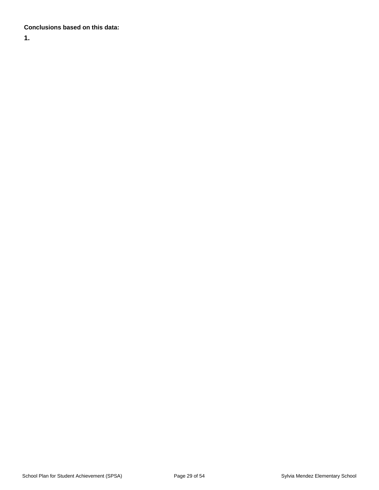#### **Conclusions based on this data:**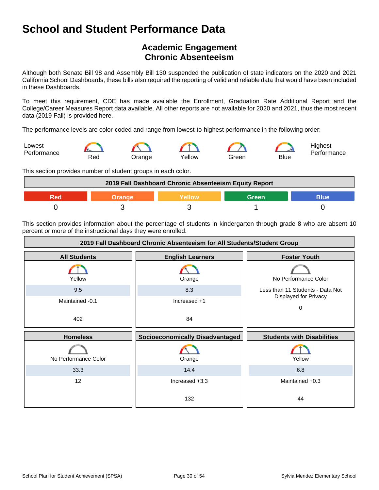## **Academic Engagement Chronic Absenteeism**

Although both Senate Bill 98 and Assembly Bill 130 suspended the publication of state indicators on the 2020 and 2021 California School Dashboards, these bills also required the reporting of valid and reliable data that would have been included in these Dashboards.

To meet this requirement, CDE has made available the Enrollment, Graduation Rate Additional Report and the College/Career Measures Report data available. All other reports are not available for 2020 and 2021, thus the most recent data (2019 Fall) is provided here.

The performance levels are color-coded and range from lowest-to-highest performance in the following order:



This section provides number of student groups in each color.

| 2019 Fall Dashboard Chronic Absenteeism Equity Report |  |  |       |      |
|-------------------------------------------------------|--|--|-------|------|
|                                                       |  |  | Green | Blue |
|                                                       |  |  |       |      |

This section provides information about the percentage of students in kindergarten through grade 8 who are absent 10 percent or more of the instructional days they were enrolled.

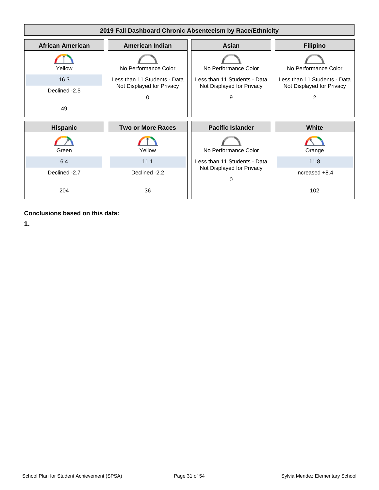

**Conclusions based on this data:**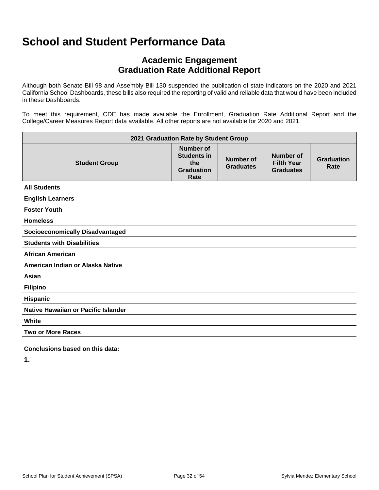## **Academic Engagement Graduation Rate Additional Report**

Although both Senate Bill 98 and Assembly Bill 130 suspended the publication of state indicators on the 2020 and 2021 California School Dashboards, these bills also required the reporting of valid and reliable data that would have been included in these Dashboards.

To meet this requirement, CDE has made available the Enrollment, Graduation Rate Additional Report and the College/Career Measures Report data available. All other reports are not available for 2020 and 2021.

| 2021 Graduation Rate by Student Group  |                                                                            |                               |                                                           |                           |
|----------------------------------------|----------------------------------------------------------------------------|-------------------------------|-----------------------------------------------------------|---------------------------|
| <b>Student Group</b>                   | <b>Number of</b><br><b>Students in</b><br>the<br><b>Graduation</b><br>Rate | Number of<br><b>Graduates</b> | <b>Number of</b><br><b>Fifth Year</b><br><b>Graduates</b> | <b>Graduation</b><br>Rate |
| <b>All Students</b>                    |                                                                            |                               |                                                           |                           |
| <b>English Learners</b>                |                                                                            |                               |                                                           |                           |
| <b>Foster Youth</b>                    |                                                                            |                               |                                                           |                           |
| <b>Homeless</b>                        |                                                                            |                               |                                                           |                           |
| <b>Socioeconomically Disadvantaged</b> |                                                                            |                               |                                                           |                           |
| <b>Students with Disabilities</b>      |                                                                            |                               |                                                           |                           |
| <b>African American</b>                |                                                                            |                               |                                                           |                           |
| American Indian or Alaska Native       |                                                                            |                               |                                                           |                           |
| Asian                                  |                                                                            |                               |                                                           |                           |
| <b>Filipino</b>                        |                                                                            |                               |                                                           |                           |
| <b>Hispanic</b>                        |                                                                            |                               |                                                           |                           |
| Native Hawaiian or Pacific Islander    |                                                                            |                               |                                                           |                           |
| White                                  |                                                                            |                               |                                                           |                           |
| <b>Two or More Races</b>               |                                                                            |                               |                                                           |                           |

**Conclusions based on this data:**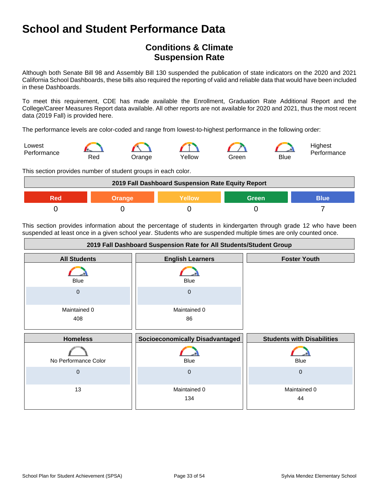## **Conditions & Climate Suspension Rate**

Although both Senate Bill 98 and Assembly Bill 130 suspended the publication of state indicators on the 2020 and 2021 California School Dashboards, these bills also required the reporting of valid and reliable data that would have been included in these Dashboards.

To meet this requirement, CDE has made available the Enrollment, Graduation Rate Additional Report and the College/Career Measures Report data available. All other reports are not available for 2020 and 2021, thus the most recent data (2019 Fall) is provided here.

The performance levels are color-coded and range from lowest-to-highest performance in the following order:



This section provides number of student groups in each color.



This section provides information about the percentage of students in kindergarten through grade 12 who have been suspended at least once in a given school year. Students who are suspended multiple times are only counted once.

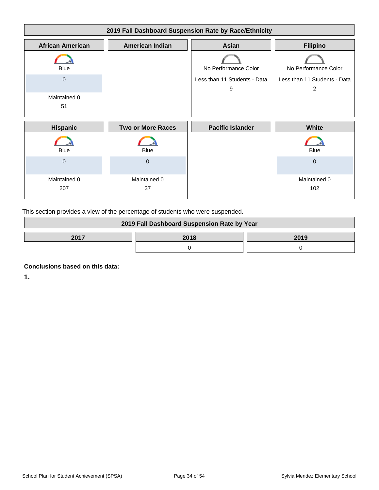| 2019 Fall Dashboard Suspension Rate by Race/Ethnicity |                          |                                   |                                   |
|-------------------------------------------------------|--------------------------|-----------------------------------|-----------------------------------|
| <b>African American</b>                               | <b>American Indian</b>   | Asian                             | <b>Filipino</b>                   |
| Blue                                                  |                          | No Performance Color              | No Performance Color              |
| 0                                                     |                          | Less than 11 Students - Data<br>9 | Less than 11 Students - Data<br>2 |
| Maintained 0<br>51                                    |                          |                                   |                                   |
| <b>Hispanic</b>                                       | <b>Two or More Races</b> | <b>Pacific Islander</b>           | White                             |
| <b>Blue</b>                                           | <b>Blue</b>              |                                   | <b>Blue</b>                       |
| $\overline{0}$                                        | $\mathbf{0}$             |                                   | $\mathbf{0}$                      |
| Maintained 0<br>207                                   | Maintained 0<br>37       |                                   | Maintained 0<br>102               |

This section provides a view of the percentage of students who were suspended.

| 2019 Fall Dashboard Suspension Rate by Year |      |      |
|---------------------------------------------|------|------|
| 2017                                        | 2018 | 2019 |
|                                             |      |      |

**Conclusions based on this data:**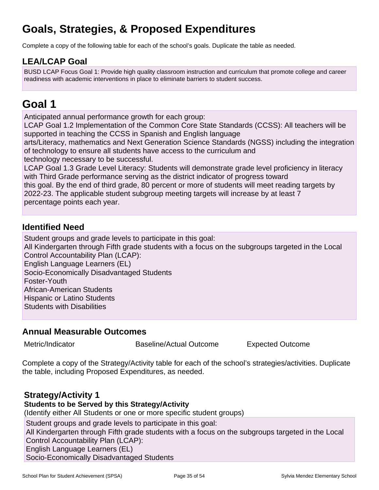## **Goals, Strategies, & Proposed Expenditures**

Complete a copy of the following table for each of the school's goals. Duplicate the table as needed.

## **LEA/LCAP Goal**

BUSD LCAP Focus Goal 1: Provide high quality classroom instruction and curriculum that promote college and career readiness with academic interventions in place to eliminate barriers to student success.

## **Goal 1**

Anticipated annual performance growth for each group:

LCAP Goal 1.2 Implementation of the Common Core State Standards (CCSS): All teachers will be supported in teaching the CCSS in Spanish and English language

arts/Literacy, mathematics and Next Generation Science Standards (NGSS) including the integration of technology to ensure all students have access to the curriculum and

technology necessary to be successful.

LCAP Goal 1.3 Grade Level Literacy: Students will demonstrate grade level proficiency in literacy with Third Grade performance serving as the district indicator of progress toward

this goal. By the end of third grade, 80 percent or more of students will meet reading targets by 2022-23. The applicable student subgroup meeting targets will increase by at least 7 percentage points each year.

## **Identified Need**

Student groups and grade levels to participate in this goal:

All Kindergarten through Fifth grade students with a focus on the subgroups targeted in the Local Control Accountability Plan (LCAP):

English Language Learners (EL)

Socio-Economically Disadvantaged Students

Foster-Youth

African-American Students

Hispanic or Latino Students

Students with Disabilities

## **Annual Measurable Outcomes**

Metric/Indicator **Baseline/Actual Outcome** Expected Outcome

Complete a copy of the Strategy/Activity table for each of the school's strategies/activities. Duplicate the table, including Proposed Expenditures, as needed.

## **Strategy/Activity 1**

### **Students to be Served by this Strategy/Activity**

(Identify either All Students or one or more specific student groups)

Student groups and grade levels to participate in this goal:

All Kindergarten through Fifth grade students with a focus on the subgroups targeted in the Local Control Accountability Plan (LCAP):

English Language Learners (EL)

Socio-Economically Disadvantaged Students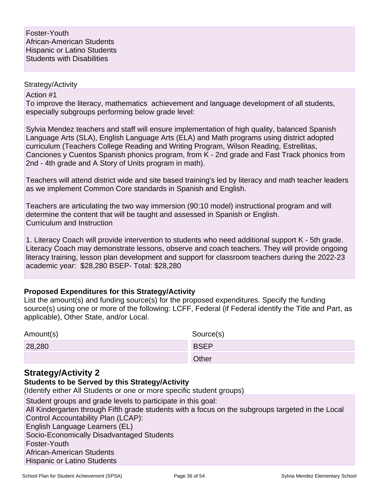Action #1

To improve the literacy, mathematics achievement and language development of all students, especially subgroups performing below grade level:

Sylvia Mendez teachers and staff will ensure implementation of high quality, balanced Spanish Language Arts (SLA), English Language Arts (ELA) and Math programs using district adopted curriculum (Teachers College Reading and Writing Program, Wilson Reading, Estrellitas, Canciones y Cuentos Spanish phonics program, from K - 2nd grade and Fast Track phonics from 2nd - 4th grade and A Story of Units program in math).

Teachers will attend district wide and site based training's led by literacy and math teacher leaders as we implement Common Core standards in Spanish and English.

Teachers are articulating the two way immersion (90:10 model) instructional program and will determine the content that will be taught and assessed in Spanish or English. Curriculum and Instruction

1. Literacy Coach will provide intervention to students who need additional support K - 5th grade. Literacy Coach may demonstrate lessons, observe and coach teachers. They will provide ongoing literacy training, lesson plan development and support for classroom teachers during the 2022-23 academic year: \$28,280 BSEP- Total: \$28,280

#### **Proposed Expenditures for this Strategy/Activity**

List the amount(s) and funding source(s) for the proposed expenditures. Specify the funding source(s) using one or more of the following: LCFF, Federal (if Federal identify the Title and Part, as applicable), Other State, and/or Local.

| Amount(s) | Source(s)   |
|-----------|-------------|
| 28,280    | <b>BSEP</b> |
|           | Other       |

### **Strategy/Activity 2**

### **Students to be Served by this Strategy/Activity**

(Identify either All Students or one or more specific student groups)

Student groups and grade levels to participate in this goal: All Kindergarten through Fifth grade students with a focus on the subgroups targeted in the Local Control Accountability Plan (LCAP): English Language Learners (EL) Socio-Economically Disadvantaged Students Foster-Youth African-American Students Hispanic or Latino Students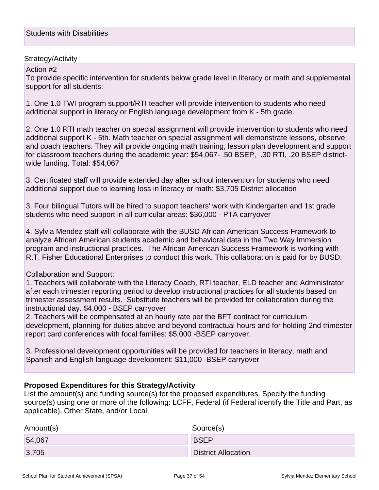Action #2

To provide specific intervention for students below grade level in literacy or math and supplemental support for all students:

1. One 1.0 TWI program support/RTI teacher will provide intervention to students who need additional support in literacy or English language development from K - 5th grade.

2. One 1.0 RTI math teacher on special assignment will provide intervention to students who need additional support K - 5th. Math teacher on special assignment will demonstrate lessons, observe and coach teachers. They will provide ongoing math training, lesson plan development and support for classroom teachers during the academic year: \$54,067- .50 BSEP, .30 RTI, .20 BSEP districtwide funding. Total: \$54,067

3. Certificated staff will provide extended day after school intervention for students who need additional support due to learning loss in literacy or math: \$3,705 District allocation

3. Four bilingual Tutors will be hired to support teachers' work with Kindergarten and 1st grade students who need support in all curricular areas: \$36,000 - PTA carryover

4. Sylvia Mendez staff will collaborate with the BUSD African American Success Framework to analyze African American students academic and behavioral data in the Two Way Immersion program and instructional practices. The African American Success Framework is working with R.T. Fisher Educational Enterprises to conduct this work. This collaboration is paid for by BUSD.

#### Collaboration and Support:

1. Teachers will collaborate with the Literacy Coach, RTI teacher, ELD teacher and Administrator after each trimester reporting period to develop instructional practices for all students based on trimester assessment results. Substitute teachers will be provided for collaboration during the instructional day. \$4,000 - BSEP carryover

2. Teachers will be compensated at an hourly rate per the BFT contract for curriculum development, planning for duties above and beyond contractual hours and for holding 2nd trimester report card conferences with focal families: \$5,000 -BSEP carryover.

3. Professional development opportunities will be provided for teachers in literacy, math and Spanish and English language development: \$11,000 -BSEP carryover

### **Proposed Expenditures for this Strategy/Activity**

List the amount(s) and funding source(s) for the proposed expenditures. Specify the funding source(s) using one or more of the following: LCFF, Federal (if Federal identify the Title and Part, as applicable), Other State, and/or Local.

| Amount(s) | Source(s)                  |
|-----------|----------------------------|
| 54,067    | <b>BSEP</b>                |
| 3,705     | <b>District Allocation</b> |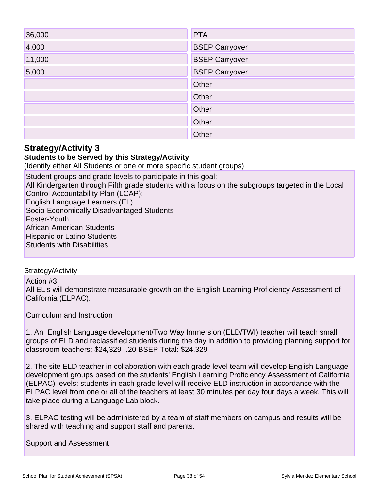| 36,000 | <b>PTA</b>            |
|--------|-----------------------|
| 4,000  | <b>BSEP Carryover</b> |
| 11,000 | <b>BSEP Carryover</b> |
| 5,000  | <b>BSEP Carryover</b> |
|        | Other                 |
|        | Other                 |
|        | Other                 |
|        | Other                 |
|        | Other                 |

#### **Students to be Served by this Strategy/Activity**

(Identify either All Students or one or more specific student groups)

Student groups and grade levels to participate in this goal: All Kindergarten through Fifth grade students with a focus on the subgroups targeted in the Local Control Accountability Plan (LCAP): English Language Learners (EL) Socio-Economically Disadvantaged Students Foster-Youth African-American Students Hispanic or Latino Students Students with Disabilities

#### Strategy/Activity

Action #3 All EL's will demonstrate measurable growth on the English Learning Proficiency Assessment of California (ELPAC).

Curriculum and Instruction

1. An English Language development/Two Way Immersion (ELD/TWI) teacher will teach small groups of ELD and reclassified students during the day in addition to providing planning support for classroom teachers: \$24,329 -.20 BSEP Total: \$24,329

2. The site ELD teacher in collaboration with each grade level team will develop English Language development groups based on the students' English Learning Proficiency Assessment of California (ELPAC) levels; students in each grade level will receive ELD instruction in accordance with the ELPAC level from one or all of the teachers at least 30 minutes per day four days a week. This will take place during a Language Lab block.

3. ELPAC testing will be administered by a team of staff members on campus and results will be shared with teaching and support staff and parents.

Support and Assessment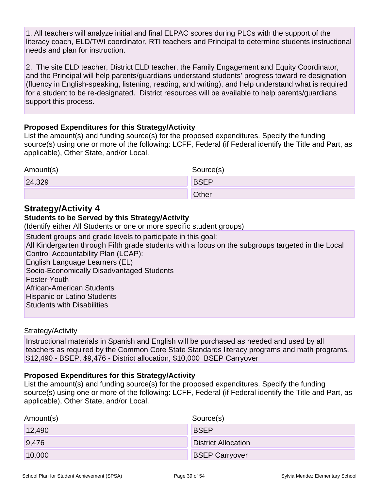1. All teachers will analyze initial and final ELPAC scores during PLCs with the support of the literacy coach, ELD/TWI coordinator, RTI teachers and Principal to determine students instructional needs and plan for instruction.

2. The site ELD teacher, District ELD teacher, the Family Engagement and Equity Coordinator, and the Principal will help parents/guardians understand students' progress toward re designation (fluency in English-speaking, listening, reading, and writing), and help understand what is required for a student to be re-designated. District resources will be available to help parents/guardians support this process.

#### **Proposed Expenditures for this Strategy/Activity**

List the amount(s) and funding source(s) for the proposed expenditures. Specify the funding source(s) using one or more of the following: LCFF, Federal (if Federal identify the Title and Part, as applicable), Other State, and/or Local.

| Amount(s) | Source(s)   |
|-----------|-------------|
| 24,329    | <b>BSEP</b> |
|           | Other       |

### **Strategy/Activity 4**

#### **Students to be Served by this Strategy/Activity**

(Identify either All Students or one or more specific student groups)

Student groups and grade levels to participate in this goal: All Kindergarten through Fifth grade students with a focus on the subgroups targeted in the Local Control Accountability Plan (LCAP): English Language Learners (EL) Socio-Economically Disadvantaged Students Foster-Youth African-American Students Hispanic or Latino Students Students with Disabilities

#### Strategy/Activity

Instructional materials in Spanish and English will be purchased as needed and used by all teachers as required by the Common Core State Standards literacy programs and math programs. \$12,490 - BSEP, \$9,476 - District allocation, \$10,000 BSEP Carryover

#### **Proposed Expenditures for this Strategy/Activity**

List the amount(s) and funding source(s) for the proposed expenditures. Specify the funding source(s) using one or more of the following: LCFF, Federal (if Federal identify the Title and Part, as applicable), Other State, and/or Local.

| Amount(s) | Source(s)                  |
|-----------|----------------------------|
| 12,490    | <b>BSEP</b>                |
| 9,476     | <b>District Allocation</b> |
| 10,000    | <b>BSEP Carryover</b>      |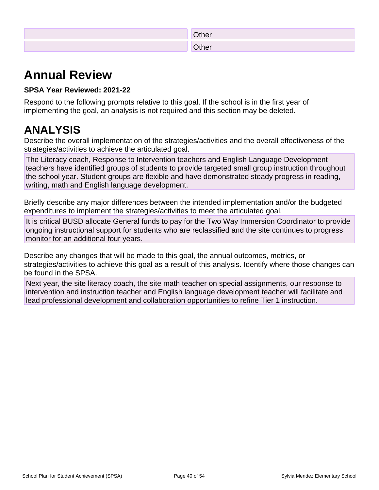| <b>Other</b> |
|--------------|
| Other        |

## **Annual Review**

### **SPSA Year Reviewed: 2021-22**

Respond to the following prompts relative to this goal. If the school is in the first year of implementing the goal, an analysis is not required and this section may be deleted.

## **ANALYSIS**

Describe the overall implementation of the strategies/activities and the overall effectiveness of the strategies/activities to achieve the articulated goal.

The Literacy coach, Response to Intervention teachers and English Language Development teachers have identified groups of students to provide targeted small group instruction throughout the school year. Student groups are flexible and have demonstrated steady progress in reading, writing, math and English language development.

Briefly describe any major differences between the intended implementation and/or the budgeted expenditures to implement the strategies/activities to meet the articulated goal.

It is critical BUSD allocate General funds to pay for the Two Way Immersion Coordinator to provide ongoing instructional support for students who are reclassified and the site continues to progress monitor for an additional four years.

Describe any changes that will be made to this goal, the annual outcomes, metrics, or strategies/activities to achieve this goal as a result of this analysis. Identify where those changes can be found in the SPSA.

Next year, the site literacy coach, the site math teacher on special assignments, our response to intervention and instruction teacher and English language development teacher will facilitate and lead professional development and collaboration opportunities to refine Tier 1 instruction.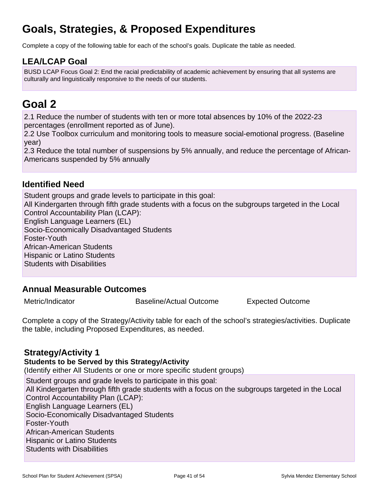## **Goals, Strategies, & Proposed Expenditures**

Complete a copy of the following table for each of the school's goals. Duplicate the table as needed.

## **LEA/LCAP Goal**

BUSD LCAP Focus Goal 2: End the racial predictability of academic achievement by ensuring that all systems are culturally and linguistically responsive to the needs of our students.

## **Goal 2**

2.1 Reduce the number of students with ten or more total absences by 10% of the 2022-23 percentages (enrollment reported as of June).

2.2 Use Toolbox curriculum and monitoring tools to measure social-emotional progress. (Baseline year)

2.3 Reduce the total number of suspensions by 5% annually, and reduce the percentage of African-Americans suspended by 5% annually

### **Identified Need**

Student groups and grade levels to participate in this goal: All Kindergarten through fifth grade students with a focus on the subgroups targeted in the Local Control Accountability Plan (LCAP): English Language Learners (EL) Socio-Economically Disadvantaged Students Foster-Youth African-American Students Hispanic or Latino Students Students with Disabilities

### **Annual Measurable Outcomes**

Metric/Indicator **Baseline/Actual Outcome** Expected Outcome

Complete a copy of the Strategy/Activity table for each of the school's strategies/activities. Duplicate the table, including Proposed Expenditures, as needed.

### **Strategy/Activity 1**

#### **Students to be Served by this Strategy/Activity**

(Identify either All Students or one or more specific student groups)

Student groups and grade levels to participate in this goal: All Kindergarten through fifth grade students with a focus on the subgroups targeted in the Local Control Accountability Plan (LCAP): English Language Learners (EL) Socio-Economically Disadvantaged Students Foster-Youth African-American Students Hispanic or Latino Students Students with Disabilities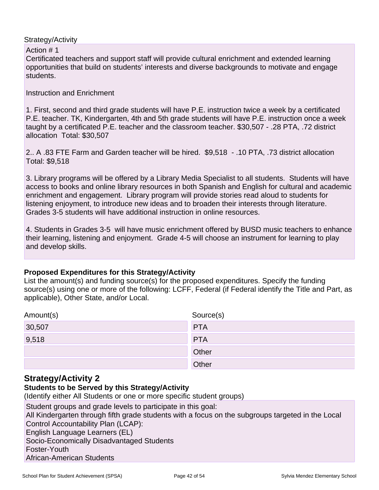Action # 1

Certificated teachers and support staff will provide cultural enrichment and extended learning opportunities that build on students' interests and diverse backgrounds to motivate and engage students.

Instruction and Enrichment

1. First, second and third grade students will have P.E. instruction twice a week by a certificated P.E. teacher. TK, Kindergarten, 4th and 5th grade students will have P.E. instruction once a week taught by a certificated P.E. teacher and the classroom teacher. \$30,507 - .28 PTA, .72 district allocation Total: \$30,507

2.. A .83 FTE Farm and Garden teacher will be hired. \$9,518 - .10 PTA, .73 district allocation Total: \$9,518

3. Library programs will be offered by a Library Media Specialist to all students. Students will have access to books and online library resources in both Spanish and English for cultural and academic enrichment and engagement. Library program will provide stories read aloud to students for listening enjoyment, to introduce new ideas and to broaden their interests through literature. Grades 3-5 students will have additional instruction in online resources.

4. Students in Grades 3-5 will have music enrichment offered by BUSD music teachers to enhance their learning, listening and enjoyment. Grade 4-5 will choose an instrument for learning to play and develop skills.

#### **Proposed Expenditures for this Strategy/Activity**

List the amount(s) and funding source(s) for the proposed expenditures. Specify the funding source(s) using one or more of the following: LCFF, Federal (if Federal identify the Title and Part, as applicable), Other State, and/or Local.

| Amount(s) | Source(s)  |
|-----------|------------|
| 30,507    | <b>PTA</b> |
| 9,518     | <b>PTA</b> |
|           | Other      |
|           | Other      |

### **Strategy/Activity 2**

### **Students to be Served by this Strategy/Activity**

(Identify either All Students or one or more specific student groups)

Student groups and grade levels to participate in this goal:

All Kindergarten through fifth grade students with a focus on the subgroups targeted in the Local Control Accountability Plan (LCAP):

English Language Learners (EL)

Socio-Economically Disadvantaged Students

Foster-Youth

African-American Students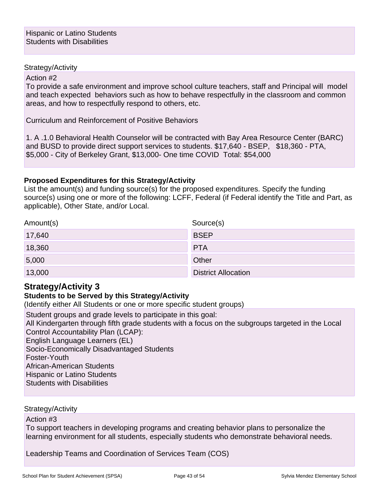#### Action #2

To provide a safe environment and improve school culture teachers, staff and Principal will model and teach expected behaviors such as how to behave respectfully in the classroom and common areas, and how to respectfully respond to others, etc.

Curriculum and Reinforcement of Positive Behaviors

1. A .1.0 Behavioral Health Counselor will be contracted with Bay Area Resource Center (BARC) and BUSD to provide direct support services to students. \$17,640 - BSEP, \$18,360 - PTA, \$5,000 - City of Berkeley Grant, \$13,000- One time COVID Total: \$54,000

#### **Proposed Expenditures for this Strategy/Activity**

List the amount(s) and funding source(s) for the proposed expenditures. Specify the funding source(s) using one or more of the following: LCFF, Federal (if Federal identify the Title and Part, as applicable), Other State, and/or Local.

| Amount(s) | Source(s)                  |
|-----------|----------------------------|
| 17,640    | <b>BSEP</b>                |
| 18,360    | <b>PTA</b>                 |
| 5,000     | Other                      |
| 13,000    | <b>District Allocation</b> |

## **Strategy/Activity 3**

#### **Students to be Served by this Strategy/Activity**

(Identify either All Students or one or more specific student groups)

Student groups and grade levels to participate in this goal:

All Kindergarten through fifth grade students with a focus on the subgroups targeted in the Local Control Accountability Plan (LCAP):

English Language Learners (EL)

Socio-Economically Disadvantaged Students

Foster-Youth

African-American Students

Hispanic or Latino Students

Students with Disabilities

Strategy/Activity

Action #3

To support teachers in developing programs and creating behavior plans to personalize the learning environment for all students, especially students who demonstrate behavioral needs.

Leadership Teams and Coordination of Services Team (COS)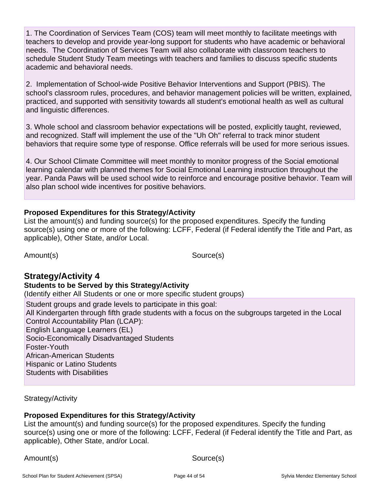1. The Coordination of Services Team (COS) team will meet monthly to facilitate meetings with teachers to develop and provide year-long support for students who have academic or behavioral needs. The Coordination of Services Team will also collaborate with classroom teachers to schedule Student Study Team meetings with teachers and families to discuss specific students academic and behavioral needs.

2. Implementation of School-wide Positive Behavior Interventions and Support (PBIS). The school's classroom rules, procedures, and behavior management policies will be written, explained, practiced, and supported with sensitivity towards all student's emotional health as well as cultural and linguistic differences.

3. Whole school and classroom behavior expectations will be posted, explicitly taught, reviewed, and recognized. Staff will implement the use of the "Uh Oh" referral to track minor student behaviors that require some type of response. Office referrals will be used for more serious issues.

4. Our School Climate Committee will meet monthly to monitor progress of the Social emotional learning calendar with planned themes for Social Emotional Learning instruction throughout the year. Panda Paws will be used school wide to reinforce and encourage positive behavior. Team will also plan school wide incentives for positive behaviors.

#### **Proposed Expenditures for this Strategy/Activity**

List the amount(s) and funding source(s) for the proposed expenditures. Specify the funding source(s) using one or more of the following: LCFF, Federal (if Federal identify the Title and Part, as applicable), Other State, and/or Local.

Amount(s) Source(s)

## **Strategy/Activity 4**

#### **Students to be Served by this Strategy/Activity**

(Identify either All Students or one or more specific student groups)

Student groups and grade levels to participate in this goal:

All Kindergarten through fifth grade students with a focus on the subgroups targeted in the Local Control Accountability Plan (LCAP):

English Language Learners (EL)

Socio-Economically Disadvantaged Students

Foster-Youth

African-American Students

Hispanic or Latino Students

Students with Disabilities

Strategy/Activity

### **Proposed Expenditures for this Strategy/Activity**

List the amount(s) and funding source(s) for the proposed expenditures. Specify the funding source(s) using one or more of the following: LCFF, Federal (if Federal identify the Title and Part, as applicable), Other State, and/or Local.

Amount(s) Source(s)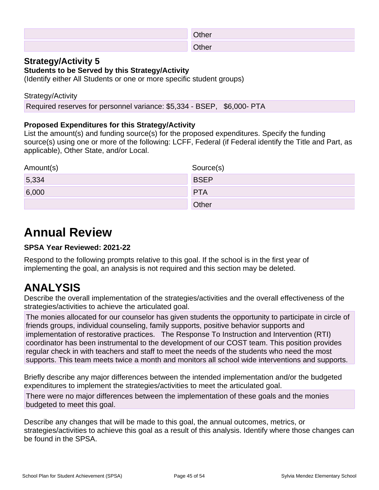| ∩ther |
|-------|
| en∆th |

### **Students to be Served by this Strategy/Activity**

(Identify either All Students or one or more specific student groups)

#### Strategy/Activity

Required reserves for personnel variance: \$5,334 - BSEP, \$6,000- PTA

### **Proposed Expenditures for this Strategy/Activity**

List the amount(s) and funding source(s) for the proposed expenditures. Specify the funding source(s) using one or more of the following: LCFF, Federal (if Federal identify the Title and Part, as applicable), Other State, and/or Local.

| Amount(s) | Source(s)   |
|-----------|-------------|
| 5,334     | <b>BSEP</b> |
| 6,000     | <b>PTA</b>  |
|           | Other       |

## **Annual Review**

### **SPSA Year Reviewed: 2021-22**

Respond to the following prompts relative to this goal. If the school is in the first year of implementing the goal, an analysis is not required and this section may be deleted.

## **ANALYSIS**

Describe the overall implementation of the strategies/activities and the overall effectiveness of the strategies/activities to achieve the articulated goal.

The monies allocated for our counselor has given students the opportunity to participate in circle of friends groups, individual counseling, family supports, positive behavior supports and implementation of restorative practices. The Response To Instruction and Intervention (RTI) coordinator has been instrumental to the development of our COST team. This position provides regular check in with teachers and staff to meet the needs of the students who need the most supports. This team meets twice a month and monitors all school wide interventions and supports.

Briefly describe any major differences between the intended implementation and/or the budgeted expenditures to implement the strategies/activities to meet the articulated goal.

There were no major differences between the implementation of these goals and the monies budgeted to meet this goal.

Describe any changes that will be made to this goal, the annual outcomes, metrics, or strategies/activities to achieve this goal as a result of this analysis. Identify where those changes can be found in the SPSA.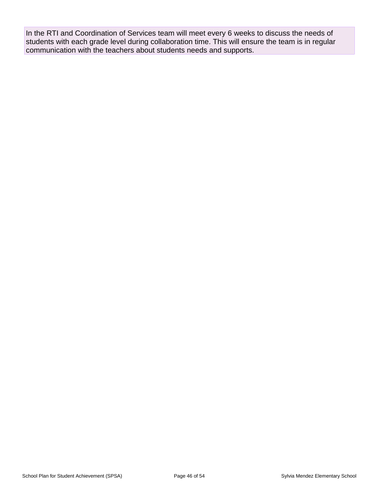In the RTI and Coordination of Services team will meet every 6 weeks to discuss the needs of students with each grade level during collaboration time. This will ensure the team is in regular communication with the teachers about students needs and supports.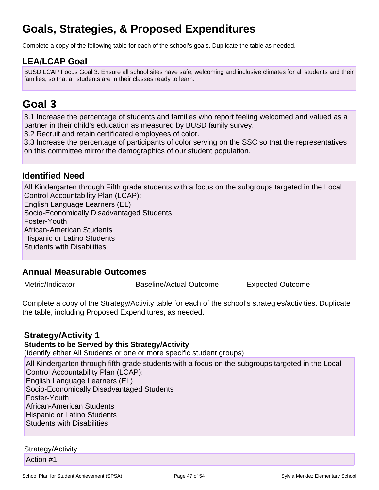## **Goals, Strategies, & Proposed Expenditures**

Complete a copy of the following table for each of the school's goals. Duplicate the table as needed.

## **LEA/LCAP Goal**

BUSD LCAP Focus Goal 3: Ensure all school sites have safe, welcoming and inclusive climates for all students and their families, so that all students are in their classes ready to learn.

## **Goal 3**

3.1 Increase the percentage of students and families who report feeling welcomed and valued as a partner in their child's education as measured by BUSD family survey.

3.2 Recruit and retain certificated employees of color.

3.3 Increase the percentage of participants of color serving on the SSC so that the representatives on this committee mirror the demographics of our student population.

### **Identified Need**

All Kindergarten through Fifth grade students with a focus on the subgroups targeted in the Local Control Accountability Plan (LCAP): English Language Learners (EL) Socio-Economically Disadvantaged Students Foster-Youth African-American Students Hispanic or Latino Students Students with Disabilities

### **Annual Measurable Outcomes**

Metric/Indicator **Baseline/Actual Outcome** Expected Outcome

Complete a copy of the Strategy/Activity table for each of the school's strategies/activities. Duplicate the table, including Proposed Expenditures, as needed.

### **Strategy/Activity 1**

#### **Students to be Served by this Strategy/Activity**

(Identify either All Students or one or more specific student groups)

All Kindergarten through fifth grade students with a focus on the subgroups targeted in the Local Control Accountability Plan (LCAP): English Language Learners (EL) Socio-Economically Disadvantaged Students Foster-Youth African-American Students Hispanic or Latino Students Students with Disabilities

### Strategy/Activity

Action #1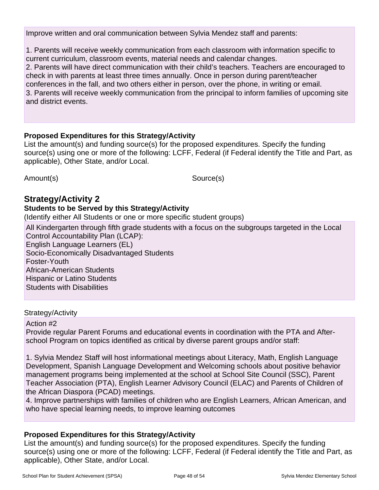Improve written and oral communication between Sylvia Mendez staff and parents:

1. Parents will receive weekly communication from each classroom with information specific to current curriculum, classroom events, material needs and calendar changes. 2. Parents will have direct communication with their child's teachers. Teachers are encouraged to check in with parents at least three times annually. Once in person during parent/teacher conferences in the fall, and two others either in person, over the phone, in writing or email. 3. Parents will receive weekly communication from the principal to inform families of upcoming site and district events.

#### **Proposed Expenditures for this Strategy/Activity**

List the amount(s) and funding source(s) for the proposed expenditures. Specify the funding source(s) using one or more of the following: LCFF, Federal (if Federal identify the Title and Part, as applicable), Other State, and/or Local.

Amount(s) Source(s)

## **Strategy/Activity 2**

#### **Students to be Served by this Strategy/Activity**

(Identify either All Students or one or more specific student groups)

All Kindergarten through fifth grade students with a focus on the subgroups targeted in the Local Control Accountability Plan (LCAP): English Language Learners (EL) Socio-Economically Disadvantaged Students Foster-Youth African-American Students Hispanic or Latino Students Students with Disabilities

#### Strategy/Activity

#### Action #2

Provide regular Parent Forums and educational events in coordination with the PTA and Afterschool Program on topics identified as critical by diverse parent groups and/or staff:

1. Sylvia Mendez Staff will host informational meetings about Literacy, Math, English Language Development, Spanish Language Development and Welcoming schools about positive behavior management programs being implemented at the school at School Site Council (SSC), Parent Teacher Association (PTA), English Learner Advisory Council (ELAC) and Parents of Children of the African Diaspora (PCAD) meetings.

4. Improve partnerships with families of children who are English Learners, African American, and who have special learning needs, to improve learning outcomes

### **Proposed Expenditures for this Strategy/Activity**

List the amount(s) and funding source(s) for the proposed expenditures. Specify the funding source(s) using one or more of the following: LCFF, Federal (if Federal identify the Title and Part, as applicable), Other State, and/or Local.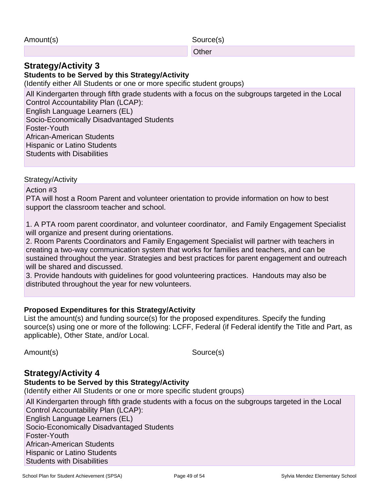**Other Community Community Community Community** 

### **Strategy/Activity 3**

### **Students to be Served by this Strategy/Activity**

(Identify either All Students or one or more specific student groups)

All Kindergarten through fifth grade students with a focus on the subgroups targeted in the Local Control Accountability Plan (LCAP): English Language Learners (EL) Socio-Economically Disadvantaged Students Foster-Youth African-American Students Hispanic or Latino Students Students with Disabilities

Strategy/Activity

Action #3

PTA will host a Room Parent and volunteer orientation to provide information on how to best support the classroom teacher and school.

1. A PTA room parent coordinator, and volunteer coordinator, and Family Engagement Specialist will organize and present during orientations.

2. Room Parents Coordinators and Family Engagement Specialist will partner with teachers in creating a two-way communication system that works for families and teachers, and can be sustained throughout the year. Strategies and best practices for parent engagement and outreach will be shared and discussed.

3. Provide handouts with guidelines for good volunteering practices. Handouts may also be distributed throughout the year for new volunteers.

### **Proposed Expenditures for this Strategy/Activity**

List the amount(s) and funding source(s) for the proposed expenditures. Specify the funding source(s) using one or more of the following: LCFF, Federal (if Federal identify the Title and Part, as applicable), Other State, and/or Local.

Amount(s) Source(s)

### **Strategy/Activity 4**

### **Students to be Served by this Strategy/Activity**

(Identify either All Students or one or more specific student groups)

All Kindergarten through fifth grade students with a focus on the subgroups targeted in the Local Control Accountability Plan (LCAP): English Language Learners (EL) Socio-Economically Disadvantaged Students Foster-Youth African-American Students Hispanic or Latino Students Students with Disabilities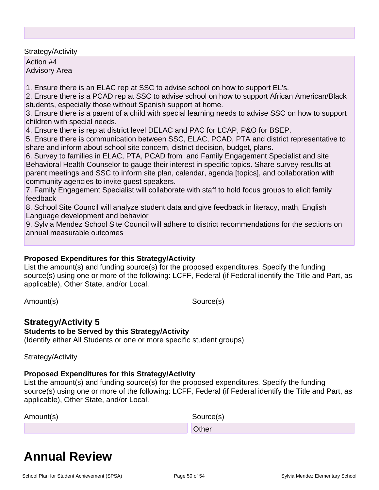Action #4 Advisory Area

1. Ensure there is an ELAC rep at SSC to advise school on how to support EL's.

2. Ensure there is a PCAD rep at SSC to advise school on how to support African American/Black students, especially those without Spanish support at home.

3. Ensure there is a parent of a child with special learning needs to advise SSC on how to support children with special needs.

4. Ensure there is rep at district level DELAC and PAC for LCAP, P&O for BSEP.

5. Ensure there is communication between SSC, ELAC, PCAD, PTA and district representative to share and inform about school site concern, district decision, budget, plans.

6. Survey to families in ELAC, PTA, PCAD from and Family Engagement Specialist and site Behavioral Health Counselor to gauge their interest in specific topics. Share survey results at parent meetings and SSC to inform site plan, calendar, agenda [topics], and collaboration with community agencies to invite guest speakers.

7. Family Engagement Specialist will collaborate with staff to hold focus groups to elicit family feedback

8. School Site Council will analyze student data and give feedback in literacy, math, English Language development and behavior

9. Sylvia Mendez School Site Council will adhere to district recommendations for the sections on annual measurable outcomes

### **Proposed Expenditures for this Strategy/Activity**

List the amount(s) and funding source(s) for the proposed expenditures. Specify the funding source(s) using one or more of the following: LCFF, Federal (if Federal identify the Title and Part, as applicable), Other State, and/or Local.

Amount(s) Source(s)

### **Strategy/Activity 5**

#### **Students to be Served by this Strategy/Activity**

(Identify either All Students or one or more specific student groups)

Strategy/Activity

#### **Proposed Expenditures for this Strategy/Activity**

List the amount(s) and funding source(s) for the proposed expenditures. Specify the funding source(s) using one or more of the following: LCFF, Federal (if Federal identify the Title and Part, as applicable), Other State, and/or Local.

| Amount(s) | Source(s)    |
|-----------|--------------|
|           | <b>Other</b> |

## **Annual Review**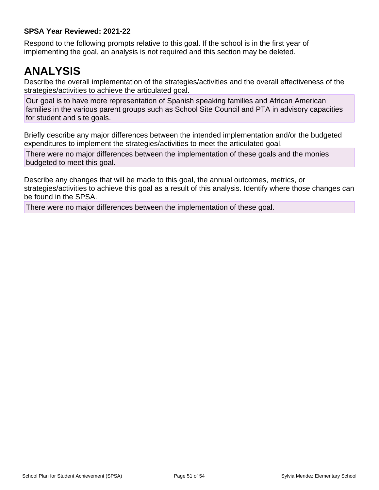#### **SPSA Year Reviewed: 2021-22**

Respond to the following prompts relative to this goal. If the school is in the first year of implementing the goal, an analysis is not required and this section may be deleted.

## **ANALYSIS**

Describe the overall implementation of the strategies/activities and the overall effectiveness of the strategies/activities to achieve the articulated goal.

Our goal is to have more representation of Spanish speaking families and African American families in the various parent groups such as School Site Council and PTA in advisory capacities for student and site goals.

Briefly describe any major differences between the intended implementation and/or the budgeted expenditures to implement the strategies/activities to meet the articulated goal.

There were no major differences between the implementation of these goals and the monies budgeted to meet this goal.

Describe any changes that will be made to this goal, the annual outcomes, metrics, or strategies/activities to achieve this goal as a result of this analysis. Identify where those changes can be found in the SPSA.

There were no major differences between the implementation of these goal.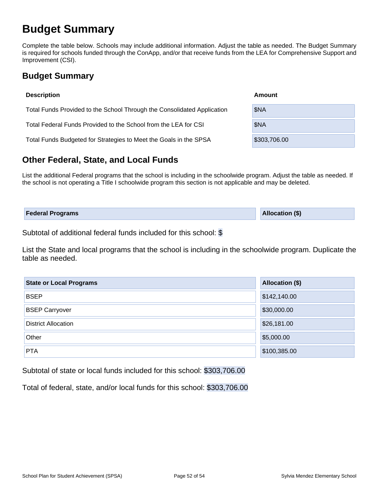## **Budget Summary**

Complete the table below. Schools may include additional information. Adjust the table as needed. The Budget Summary is required for schools funded through the ConApp, and/or that receive funds from the LEA for Comprehensive Support and Improvement (CSI).

## **Budget Summary**

| <b>Description</b>                                                      | Amount       |  |  |  |  |  |
|-------------------------------------------------------------------------|--------------|--|--|--|--|--|
| Total Funds Provided to the School Through the Consolidated Application | \$NA         |  |  |  |  |  |
| Total Federal Funds Provided to the School from the LEA for CSI         | \$NA         |  |  |  |  |  |
| Total Funds Budgeted for Strategies to Meet the Goals in the SPSA       | \$303,706.00 |  |  |  |  |  |

## **Other Federal, State, and Local Funds**

List the additional Federal programs that the school is including in the schoolwide program. Adjust the table as needed. If the school is not operating a Title I schoolwide program this section is not applicable and may be deleted.

| <b>Federal Programs</b> | <b>Allocation (\$)</b> |
|-------------------------|------------------------|
|                         |                        |

Subtotal of additional federal funds included for this school: \$

List the State and local programs that the school is including in the schoolwide program. Duplicate the table as needed.

| <b>State or Local Programs</b> | <b>Allocation (\$)</b> |
|--------------------------------|------------------------|
| <b>BSEP</b>                    | \$142,140.00           |
| <b>BSEP Carryover</b>          | \$30,000.00            |
| <b>District Allocation</b>     | \$26,181.00            |
| Other                          | \$5,000.00             |
| <b>PTA</b>                     | \$100,385.00           |

Subtotal of state or local funds included for this school: \$303,706.00

Total of federal, state, and/or local funds for this school: \$303,706.00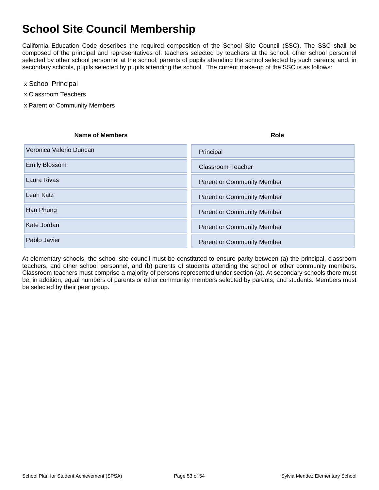## **School Site Council Membership**

California Education Code describes the required composition of the School Site Council (SSC). The SSC shall be composed of the principal and representatives of: teachers selected by teachers at the school; other school personnel selected by other school personnel at the school; parents of pupils attending the school selected by such parents; and, in secondary schools, pupils selected by pupils attending the school. The current make-up of the SSC is as follows:

- x School Principal
- x Classroom Teachers
- x Parent or Community Members

| <b>Name of Members</b>  | <b>Role</b>                       |
|-------------------------|-----------------------------------|
| Veronica Valerio Duncan | Principal                         |
| <b>Emily Blossom</b>    | <b>Classroom Teacher</b>          |
| Laura Rivas             | <b>Parent or Community Member</b> |
| Leah Katz               | <b>Parent or Community Member</b> |
| Han Phung               | <b>Parent or Community Member</b> |
| Kate Jordan             | <b>Parent or Community Member</b> |
| Pablo Javier            | <b>Parent or Community Member</b> |

At elementary schools, the school site council must be constituted to ensure parity between (a) the principal, classroom teachers, and other school personnel, and (b) parents of students attending the school or other community members. Classroom teachers must comprise a majority of persons represented under section (a). At secondary schools there must be, in addition, equal numbers of parents or other community members selected by parents, and students. Members must be selected by their peer group.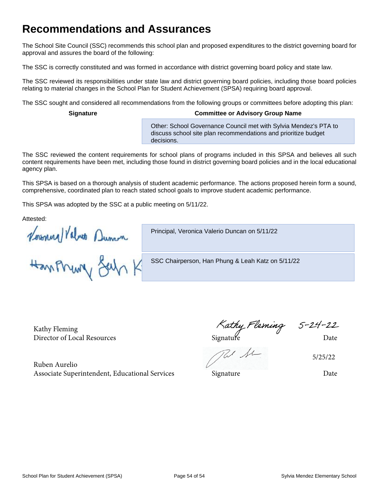## **Recommendations and Assurances**

The School Site Council (SSC) recommends this school plan and proposed expenditures to the district governing board for approval and assures the board of the following:

The SSC is correctly constituted and was formed in accordance with district governing board policy and state law.

The SSC reviewed its responsibilities under state law and district governing board policies, including those board policies relating to material changes in the School Plan for Student Achievement (SPSA) requiring board approval.

The SSC sought and considered all recommendations from the following groups or committees before adopting this plan:

#### **Signature Committee or Advisory Group Name**

Other: School Governance Council met with Sylvia Mendez's PTA to discuss school site plan recommendations and prioritize budget decisions.

The SSC reviewed the content requirements for school plans of programs included in this SPSA and believes all such content requirements have been met, including those found in district governing board policies and in the local educational agency plan.

This SPSA is based on a thorough analysis of student academic performance. The actions proposed herein form a sound, comprehensive, coordinated plan to reach stated school goals to improve student academic performance.

This SPSA was adopted by the SSC at a public meeting on 5/11/22.

Attested:

Principal, Veronica Valerio Duncan on 5/11/22

Howard Values Dunca

SSC Chairperson, Han Phung & Leah Katz on 5/11/22

Kathy Fleming Kathy Fleming Kathy Fleming 5-24-22<br>Director of Local Resources Signature Date

5/25/22

Ruben Aurelio Associate Superintendent, Educational Services Signature Signature Date